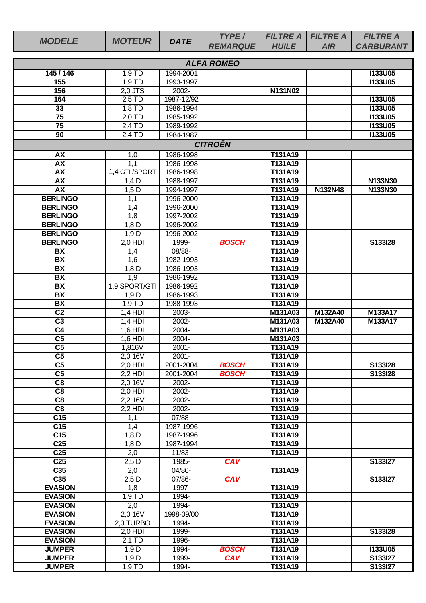| <b>MODELE</b>                | <b>MOTEUR</b>     | <b>DATE</b>        | TYPE/             | <b>FILTRE A</b>    | <b>FILTRE A</b> | <b>FILTRE A</b>  |
|------------------------------|-------------------|--------------------|-------------------|--------------------|-----------------|------------------|
|                              |                   |                    | <b>REMARQUE</b>   | <b>HUILE</b>       | <b>AIR</b>      | <b>CARBURANT</b> |
|                              |                   |                    | <b>ALFA ROMEO</b> |                    |                 |                  |
| 145/146                      | $1,9$ TD          | 1994-2001          |                   |                    |                 | <b>I133U05</b>   |
| 155                          | 1,9 TD            | 1993-1997          |                   |                    |                 | <b>I133U05</b>   |
| 156                          | 2,0 JTS           | 2002-              |                   | N131N02            |                 |                  |
| 164                          | $2,5$ TD          | 1987-12/92         |                   |                    |                 | <b>I133U05</b>   |
| 33                           | 1,8 TD            | 1986-1994          |                   |                    |                 | <b>I133U05</b>   |
| $\overline{75}$              | 2,0 TD            | 1985-1992          |                   |                    |                 | <b>I133U05</b>   |
| 75                           | 2,4 TD            | 1989-1992          |                   |                    |                 | <b>I133U05</b>   |
| 90                           | 2,4 TD            | 1984-1987          |                   |                    |                 | <b>I133U05</b>   |
|                              |                   |                    | <b>CITROËN</b>    |                    |                 |                  |
| <b>AX</b>                    | 1,0               | 1986-1998          |                   | T131A19            |                 |                  |
| AX                           | 1,1               | 1986-1998          |                   | T131A19            |                 |                  |
| <b>AX</b>                    | 1,4 GTI /SPORT    | 1986-1998          |                   | T131A19            |                 |                  |
| <b>AX</b>                    | $1,4$ D           | 1988-1997          |                   | T131A19            |                 | N133N30          |
| AX                           | $1,5$ D           | 1994-1997          |                   | T131A19            | N132N48         | N133N30          |
| <b>BERLINGO</b>              | 1,1               | 1996-2000          |                   | T131A19            |                 |                  |
| <b>BERLINGO</b>              | 1,4               | 1996-2000          |                   | T131A19            |                 |                  |
| <b>BERLINGO</b>              | 1,8               | 1997-2002          |                   | T131A19            |                 |                  |
| <b>BERLINGO</b>              | $1,8$ D           | 1996-2002          |                   | T131A19            |                 |                  |
| <b>BERLINGO</b>              | 1,9D<br>$2,0$ HDI | 1996-2002<br>1999- | <b>BOSCH</b>      | T131A19            |                 | S133I28          |
| <b>BERLINGO</b><br><b>BX</b> |                   | 08/88-             |                   | T131A19<br>T131A19 |                 |                  |
| $\overline{BX}$              | 1,4<br>1,6        | 1982-1993          |                   | T131A19            |                 |                  |
| $\overline{BX}$              | $1,8$ D           | 1986-1993          |                   | T131A19            |                 |                  |
| <b>BX</b>                    | 1,9               | 1986-1992          |                   | T131A19            |                 |                  |
| <b>BX</b>                    | 1,9 SPORT/GTI     | 1986-1992          |                   | T131A19            |                 |                  |
| <b>BX</b>                    | 1,9D              | 1986-1993          |                   | T131A19            |                 |                  |
| <b>BX</b>                    | 1,9 TD            | 1988-1993          |                   | T131A19            |                 |                  |
| $\overline{C2}$              | $1,4$ HDI         | 2003-              |                   | M131A03            | M132A40         | M133A17          |
| $\overline{C3}$              | $1,4$ HDI         | 2002-              |                   | M131A03            | M132A40         | M133A17          |
| C <sub>4</sub>               | 1,6 HDI           | 2004-              |                   | M131A03            |                 |                  |
| $\overline{\text{C5}}$       | 1,6 HDI           | 2004-              |                   | M131A03            |                 |                  |
| $\overline{\text{C5}}$       | 1,816V            | $2001 -$           |                   | T131A19            |                 |                  |
| C <sub>5</sub>               | 2,0 16V           | $2001 -$           |                   | T131A19            |                 |                  |
| $\overline{\text{C5}}$       | $2,0$ HDI         | 2001-2004          | <b>BOSCH</b>      | T131A19            |                 | S133I28          |
| C <sub>5</sub>               | $2,2$ HDI         | 2001-2004          | <b>BOSCH</b>      | T131A19            |                 | S133I28          |
| $\overline{C8}$              | 2,0 16V           | 2002-              |                   | T131A19            |                 |                  |
| $\overline{C8}$              | $2,0$ HDI         | 2002-              |                   | T131A19            |                 |                  |
| $\overline{C8}$              | 2,2 16V           | 2002-              |                   | T131A19            |                 |                  |
| C8<br>C <sub>15</sub>        | $2.2$ HDI         | 2002-<br>07/88-    |                   | T131A19<br>T131A19 |                 |                  |
| $\overline{C15}$             | 1,1<br>1,4        | 1987-1996          |                   | T131A19            |                 |                  |
| C <sub>15</sub>              | $1,8$ D           | 1987-1996          |                   | T131A19            |                 |                  |
| C <sub>25</sub>              | $1,8$ D           | 1987-1994          |                   | T131A19            |                 |                  |
| $\overline{C25}$             | 2,0               | $11/83 -$          |                   | T131A19            |                 |                  |
| C <sub>25</sub>              | $2,5$ D           | 1985-              | <b>CAV</b>        |                    |                 | S133I27          |
| C <sub>35</sub>              | 2,0               | 04/86-             |                   | T131A19            |                 |                  |
| C <sub>35</sub>              | $2,5$ D           | 07/86-             | <b>CAV</b>        |                    |                 | S133I27          |
| <b>EVASION</b>               | 1,8               | 1997-              |                   | T131A19            |                 |                  |
| <b>EVASION</b>               | 1,9 TD            | 1994-              |                   | T131A19            |                 |                  |
| <b>EVASION</b>               | 2,0               | 1994-              |                   | T131A19            |                 |                  |
| <b>EVASION</b>               | 2,0 16V           | 1998-09/00         |                   | T131A19            |                 |                  |
| <b>EVASION</b>               | 2,0 TURBO         | 1994-              |                   | T131A19            |                 |                  |
| <b>EVASION</b>               | 2,0 HDI           | 1999-              |                   | T131A19            |                 | S133I28          |
| <b>EVASION</b>               | $2,1$ TD          | $1996 -$           |                   | T131A19            |                 |                  |
| <b>JUMPER</b>                | 1,9D              | 1994-              | <b>BOSCH</b>      | T131A19            |                 | <b>I133U05</b>   |
| <b>JUMPER</b>                | 1,9D              | 1999-              | <b>CAV</b>        | T131A19            |                 | S133I27          |
| <b>JUMPER</b>                | $1,9$ TD          | 1994-              |                   | T131A19            |                 | S133I27          |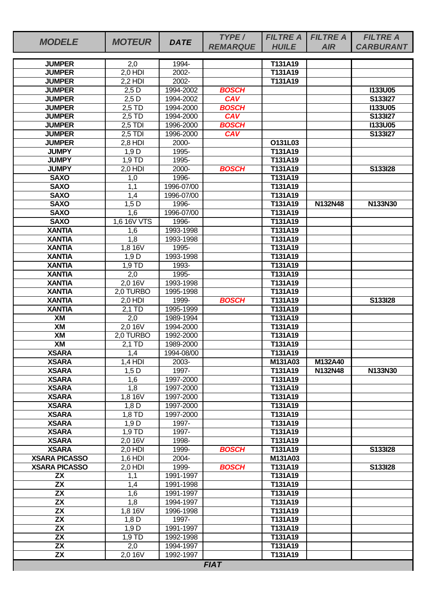| <b>MODELE</b>                      | <b>MOTEUR</b>    | <b>DATE</b>             | TYPE/           | <b>FILTRE A</b>    | <b>FILTRE A</b> | <b>FILTRE A</b>  |
|------------------------------------|------------------|-------------------------|-----------------|--------------------|-----------------|------------------|
|                                    |                  |                         | <b>REMARQUE</b> | <b>HUILE</b>       | <b>AIR</b>      | <b>CARBURANT</b> |
| <b>JUMPER</b>                      | 2,0              | 1994-                   |                 | T131A19            |                 |                  |
| <b>JUMPER</b>                      | 2,0 HDI          | 2002-                   |                 | T131A19            |                 |                  |
| <b>JUMPER</b>                      | $2,2$ HDI        | 2002-                   |                 | T131A19            |                 |                  |
| <b>JUMPER</b>                      | $2,5$ D          | 1994-2002               | <b>BOSCH</b>    |                    |                 | <b>I133U05</b>   |
| <b>JUMPER</b>                      | $2,5$ D          | 1994-2002               | <b>CAV</b>      |                    |                 | S133I27          |
| <b>JUMPER</b>                      | 2,5 TD           | 1994-2000               | <b>BOSCH</b>    |                    |                 | <b>I133U05</b>   |
| <b>JUMPER</b>                      | 2,5 TD           | 1994-2000               | CAV             |                    |                 | S133I27          |
| <b>JUMPER</b>                      | $2,5$ TDI        | 1996-2000               | <b>BOSCH</b>    |                    |                 | <b>I133U05</b>   |
| <b>JUMPER</b>                      | $2,5$ TDI        | 1996-2000               | <b>CAV</b>      |                    |                 | S133I27          |
| <b>JUMPER</b>                      | $2,8$ HDI        | 2000-                   |                 | O131L03            |                 |                  |
| <b>JUMPY</b>                       | 1,9D             | 1995-                   |                 | T131A19            |                 |                  |
| <b>JUMPY</b>                       | 1,9 TD           | 1995-                   |                 | T131A19            |                 |                  |
| <b>JUMPY</b>                       | 2,0 HDI          | 2000-                   | <b>BOSCH</b>    | T131A19            |                 | S133I28          |
| <b>SAXO</b><br><b>SAXO</b>         | 1,0<br>1,1       | 1996-<br>1996-07/00     |                 | T131A19<br>T131A19 |                 |                  |
| <b>SAXO</b>                        | 1,4              | 1996-07/00              |                 | T131A19            |                 |                  |
| <b>SAXO</b>                        | $1,5$ D          | 1996-                   |                 | T131A19            | N132N48         | N133N30          |
| <b>SAXO</b>                        | 1,6              | 1996-07/00              |                 | T131A19            |                 |                  |
| <b>SAXO</b>                        | 1,6 16V VTS      | 1996-                   |                 | T131A19            |                 |                  |
| <b>XANTIA</b>                      | 1,6              | 1993-1998               |                 | T131A19            |                 |                  |
| <b>XANTIA</b>                      | $\overline{1,8}$ | 1993-1998               |                 | T131A19            |                 |                  |
| <b>XANTIA</b>                      | 1,8 16V          | 1995-                   |                 | T131A19            |                 |                  |
| <b>XANTIA</b>                      | 1,9D             | 1993-1998               |                 | T131A19            |                 |                  |
| <b>XANTIA</b>                      | 1,9 TD           | 1993-                   |                 | T131A19            |                 |                  |
| <b>XANTIA</b>                      | 2,0              | 1995-                   |                 | T131A19            |                 |                  |
| <b>XANTIA</b>                      | 2,0 16V          | 1993-1998               |                 | T131A19            |                 |                  |
| <b>XANTIA</b>                      | 2,0 TURBO        | 1995-1998               |                 | T131A19            |                 |                  |
| <b>XANTIA</b>                      | 2,0 HDI          | 1999-                   | <b>BOSCH</b>    | T131A19            |                 | S133I28          |
| <b>XANTIA</b>                      | $2.1$ TD         | 1995-1999               |                 | T131A19            |                 |                  |
| XM                                 | 2,0              | 1989-1994               |                 | T131A19            |                 |                  |
| XM                                 | 2,0 16V          | 1994-2000               |                 | T131A19            |                 |                  |
| XM                                 | 2.0 TURBO        | 1992-2000               |                 | T131A19<br>T131A19 |                 |                  |
| XM<br><b>XSARA</b>                 | 2,1 TD           | 1989-2000<br>1994-08/00 |                 | T131A19            |                 |                  |
| <b>XSARA</b>                       | 1,4<br>$1,4$ HDI | 2003-                   |                 | M131A03            | M132A40         |                  |
| <b>XSARA</b>                       | $1,5$ D          | 1997-                   |                 | T131A19            | N132N48         | N133N30          |
| <b>XSARA</b>                       | 1,6              | 1997-2000               |                 | T131A19            |                 |                  |
| <b>XSARA</b>                       | $\overline{1,8}$ | 1997-2000               |                 | T131A19            |                 |                  |
| <b>XSARA</b>                       | 1,8 16V          | 1997-2000               |                 | T131A19            |                 |                  |
| <b>XSARA</b>                       | 1,8 D            | 1997-2000               |                 | T131A19            |                 |                  |
| <b>XSARA</b>                       | 1,8 TD           | 1997-2000               |                 | T131A19            |                 |                  |
| <b>XSARA</b>                       | 1,9D             | 1997-                   |                 | T131A19            |                 |                  |
| <b>XSARA</b>                       | $1,9$ TD         | 1997-                   |                 | T131A19            |                 |                  |
| <b>XSARA</b>                       | 2,0 16V          | 1998-                   |                 | T131A19            |                 |                  |
| <b>XSARA</b>                       | $2,0$ HDI        | 1999-                   | <b>BOSCH</b>    | T131A19            |                 | S133I28          |
| <b>XSARA PICASSO</b>               | $1,6$ HDI        | 2004-                   |                 | M131A03            |                 |                  |
| <b>XSARA PICASSO</b>               | 2,0 HDI          | 1999-                   | <b>BOSCH</b>    | T131A19            |                 | S133I28          |
| <b>ZX</b>                          | 1,1              | 1991-1997               |                 | T131A19            |                 |                  |
| $\overline{ZX}$<br>$\overline{ZX}$ | 1,4<br>1,6       | 1991-1998<br>1991-1997  |                 | T131A19<br>T131A19 |                 |                  |
| <b>ZX</b>                          | 1,8              | 1994-1997               |                 | T131A19            |                 |                  |
| $\overline{ZX}$                    | 1,8 16V          | 1996-1998               |                 | T131A19            |                 |                  |
| <b>ZX</b>                          | $1,8$ D          | 1997-                   |                 | T131A19            |                 |                  |
| <b>ZX</b>                          | 1,9D             | 1991-1997               |                 | T131A19            |                 |                  |
| $\overline{ZX}$                    | 1,9 TD           | 1992-1998               |                 | T131A19            |                 |                  |
| <b>ZX</b>                          | 2,0              | 1994-1997               |                 | T131A19            |                 |                  |
| $\overline{ZX}$                    | $2,0$ 16 $V$     | 1992-1997               |                 | T131A19            |                 |                  |
|                                    |                  |                         | <b>FIAT</b>     |                    |                 |                  |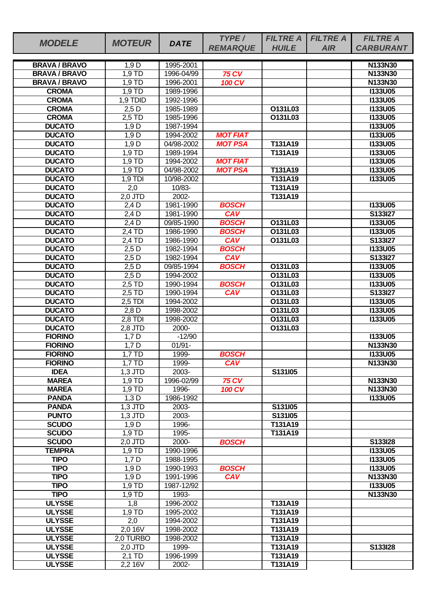| <b>MODELE</b>                  | <b>MOTEUR</b>     | <b>DATE</b>         | TYPE/                         | <b>FILTRE A</b>    | <b>FILTRE A</b> | <b>FILTRE A</b>    |
|--------------------------------|-------------------|---------------------|-------------------------------|--------------------|-----------------|--------------------|
|                                |                   |                     | <b>REMARQUE</b>               | <b>HUILE</b>       | <b>AIR</b>      | <b>CARBURANT</b>   |
| <b>BRAVA / BRAVO</b>           | 1,9D              | 1995-2001           |                               |                    |                 | <b>N133N30</b>     |
| <b>BRAVA / BRAVO</b>           | 1.9 <sub>TD</sub> | 1996-04/99          | <b>75 CV</b>                  |                    |                 | N133N30            |
| <b>BRAVA / BRAVO</b>           | 1,9 TD            | 1996-2001           | <b>100 CV</b>                 |                    |                 | N133N30            |
| <b>CROMA</b>                   | $1,9$ TD          | 1989-1996           |                               |                    |                 | <b>I133U05</b>     |
| <b>CROMA</b>                   | 1,9 TDID          | 1992-1996           |                               |                    |                 | <b>I133U05</b>     |
| <b>CROMA</b>                   | $2,5$ D           | 1985-1989           |                               | O131L03            |                 | <b>I133U05</b>     |
| <b>CROMA</b>                   | $2,5$ TD          | 1985-1996           |                               | O131L03            |                 | <b>I133U05</b>     |
| <b>DUCATO</b>                  | 1,9D              | 1987-1994           |                               |                    |                 | <b>I133U05</b>     |
| <b>DUCATO</b>                  | 1,9D              | 1994-2002           | <b>MOT FIAT</b>               |                    |                 | <b>I133U05</b>     |
| <b>DUCATO</b>                  | 1,9D              | 04/98-2002          | <b>MOT PSA</b>                | T131A19            |                 | <b>I133U05</b>     |
| <b>DUCATO</b>                  | 1,9 TD            | 1989-1994           |                               | T131A19            |                 | <b>I133U05</b>     |
| <b>DUCATO</b>                  | 1,9 TD            | 1994-2002           | <b>MOT FIAT</b>               |                    |                 | <b>I133U05</b>     |
| <b>DUCATO</b>                  | 1,9 TD            | 04/98-2002          | <b>MOT PSA</b>                | T131A19            |                 | <b>I133U05</b>     |
| <b>DUCATO</b><br><b>DUCATO</b> | $1,9$ TDI         | 10/98-2002          |                               | T131A19<br>T131A19 |                 | <b>I133U05</b>     |
| <b>DUCATO</b>                  | 2,0<br>$2.0$ JTD  | 10/83-<br>$2002 -$  |                               | <b>T131A19</b>     |                 |                    |
| <b>DUCATO</b>                  | 2.4 <sub>D</sub>  | 1981-1990           | <b>BOSCH</b>                  |                    |                 | <b>I133U05</b>     |
| <b>DUCATO</b>                  | $2,4$ D           | 1981-1990           | CAV                           |                    |                 | S133I27            |
| <b>DUCATO</b>                  | $2,4$ D           | 09/85-1990          | <b>BOSCH</b>                  | O131L03            |                 | <b>I133U05</b>     |
| <b>DUCATO</b>                  | 2,4 TD            | 1986-1990           | <b>BOSCH</b>                  | O131L03            |                 | <b>I133U05</b>     |
| <b>DUCATO</b>                  | 2,4 TD            | 1986-1990           | <b>CAV</b>                    | O131L03            |                 | S133I27            |
| <b>DUCATO</b>                  | $2,5$ D           | 1982-1994           | <b>BOSCH</b>                  |                    |                 | <b>I133U05</b>     |
| <b>DUCATO</b>                  | $2,5$ D           | 1982-1994           | <b>CAV</b>                    |                    |                 | S133I27            |
| <b>DUCATO</b>                  | $2,5$ D           | 09/85-1994          | <b>BOSCH</b>                  | O131L03            |                 | <b>I133U05</b>     |
| <b>DUCATO</b>                  | $2,5$ D           | 1994-2002           |                               | O131L03            |                 | <b>I133U05</b>     |
| <b>DUCATO</b>                  | 2,5 TD            | 1990-1994           | <b>BOSCH</b>                  | O131L03            |                 | <b>I133U05</b>     |
| <b>DUCATO</b>                  | $2.5$ TD          | 1990-1994           | CAV                           | O131L03            |                 | S133I27            |
| <b>DUCATO</b>                  | $2,5$ TDI         | 1994-2002           |                               | O131L03            |                 | <b>I133U05</b>     |
| <b>DUCATO</b>                  | $2,8$ D           | 1998-2002           |                               | O131L03            |                 | <b>I133U05</b>     |
| <b>DUCATO</b>                  | $2,8$ TDI         | 1998-2002           |                               | O131L03            |                 | <b>I133U05</b>     |
| <b>DUCATO</b>                  | 2,8 JTD           | 2000-               |                               | O131L03            |                 |                    |
| <b>FIORINO</b>                 | $1,7$ D           | $-12/90$            |                               |                    |                 | <b>I133U05</b>     |
| <b>FIORINO</b>                 | $1,7$ D           | $01/91 -$           |                               |                    |                 | N133N30            |
| <b>FIORINO</b>                 | 1,7 TD            | 1999-               | <b>BOSCH</b>                  |                    |                 | <b>I133U05</b>     |
| <b>FIORINO</b>                 | 1.7 TD            | 1999-               | <b>CAV</b>                    |                    |                 | N133N30            |
| <b>IDEA</b>                    | $1,3$ JTD         | 2003-               |                               | S131l05            |                 |                    |
| <b>MAREA</b><br><b>MAREA</b>   | 1,9 TD<br>1,9 TD  | 1996-02/99<br>1996- | <b>75 CV</b><br><b>100 CV</b> |                    |                 | N133N30<br>N133N30 |
| <b>PANDA</b>                   | 1,3D              | 1986-1992           |                               |                    |                 | <b>I133U05</b>     |
| <b>PANDA</b>                   | $1,3$ JTD         | 2003-               |                               | S131I05            |                 |                    |
| <b>PUNTO</b>                   | $1,3$ JTD         | 2003-               |                               | S131I05            |                 |                    |
| <b>SCUDO</b>                   | 1,9D              | 1996-               |                               | T131A19            |                 |                    |
| <b>SCUDO</b>                   | 1,9 TD            | 1995-               |                               | T131A19            |                 |                    |
| <b>SCUDO</b>                   | 2,0 JTD           | 2000-               | <b>BOSCH</b>                  |                    |                 | S133I28            |
| <b>TEMPRA</b>                  | $1,9$ TD          | 1990-1996           |                               |                    |                 | <b>I133U05</b>     |
| <b>TIPO</b>                    | $1,7$ D           | 1988-1995           |                               |                    |                 | <b>I133U05</b>     |
| <b>TIPO</b>                    | 1,9D              | 1990-1993           | <b>BOSCH</b>                  |                    |                 | <b>I133U05</b>     |
| <b>TIPO</b>                    | 1,9D              | 1991-1996           | <b>CAV</b>                    |                    |                 | N133N30            |
| <b>TIPO</b>                    | 1,9 TD            | 1987-12/92          |                               |                    |                 | <b>I133U05</b>     |
| <b>TIPO</b>                    | $1,9$ TD          | 1993-               |                               |                    |                 | N133N30            |
| <b>ULYSSE</b>                  | 1,8               | 1996-2002           |                               | T131A19            |                 |                    |
| <b>ULYSSE</b>                  | 1,9 TD            | 1995-2002           |                               | T131A19            |                 |                    |
| <b>ULYSSE</b>                  | 2,0               | 1994-2002           |                               | T131A19            |                 |                    |
| <b>ULYSSE</b>                  | 2,0,16V           | 1998-2002           |                               | T131A19            |                 |                    |
| <b>ULYSSE</b>                  | 2,0 TURBO         | 1998-2002           |                               | T131A19            |                 |                    |
| <b>ULYSSE</b>                  | 2,0 JTD           | 1999-               |                               | T131A19            |                 | S133I28            |
| <b>ULYSSE</b>                  | 2,1 TD            | 1996-1999           |                               | T131A19            |                 |                    |
| <b>ULYSSE</b>                  | 2,2 16V           | 2002-               |                               | T131A19            |                 |                    |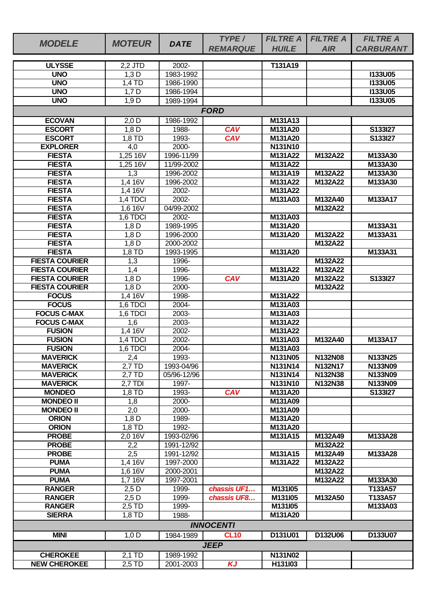|                       |                      |             | TYPE/            | <b>FILTRE A</b> | <b>FILTRE A</b> | <b>FILTRE A</b>  |
|-----------------------|----------------------|-------------|------------------|-----------------|-----------------|------------------|
| <b>MODELE</b>         | <b>MOTEUR</b>        | <b>DATE</b> | <b>REMARQUE</b>  | <b>HUILE</b>    | <b>AIR</b>      | <b>CARBURANT</b> |
|                       |                      |             |                  |                 |                 |                  |
| <b>ULYSSE</b>         | 2,2 JTD              | 2002-       |                  | T131A19         |                 |                  |
| <b>UNO</b>            | 1,3D                 | 1983-1992   |                  |                 |                 | <b>I133U05</b>   |
| <b>UNO</b>            | 1,4 TD               | 1986-1990   |                  |                 |                 | <b>I133U05</b>   |
| <b>UNO</b>            | $1,7$ D              | 1986-1994   |                  |                 |                 | <b>I133U05</b>   |
| <b>UNO</b>            | 1,9D                 | 1989-1994   |                  |                 |                 | <b>I133U05</b>   |
|                       |                      |             | <b>FORD</b>      |                 |                 |                  |
| <b>ECOVAN</b>         | $2,0$ D              | 1986-1992   |                  | M131A13         |                 |                  |
| <b>ESCORT</b>         | $1,8$ D              | 1988-       | <b>CAV</b>       | M131A20         |                 | S133I27          |
| <b>ESCORT</b>         | $1,8$ TD             | 1993-       | <b>CAV</b>       | M131A20         |                 | S133I27          |
| <b>EXPLORER</b>       |                      | 2000-       |                  | N131N10         |                 |                  |
|                       | 4,0                  |             |                  |                 |                 |                  |
| <b>FIESTA</b>         | $1,25\overline{16V}$ | 1996-11/99  |                  | M131A22         | M132A22         | M133A30          |
| <b>FIESTA</b>         | 1,2516V              | 11/99-2002  |                  | M131A22         |                 | M133A30          |
| <b>FIESTA</b>         | 1,3                  | 1996-2002   |                  | M131A19         | M132A22         | M133A30          |
| <b>FIESTA</b>         | 1,416V               | 1996-2002   |                  | M131A22         | M132A22         | M133A30          |
| <b>FIESTA</b>         | 1,4 16V              | 2002-       |                  | M131A22         |                 |                  |
| <b>FIESTA</b>         | 1,4 TDCI             | 2002-       |                  | M131A03         | M132A40         | M133A17          |
| <b>FIESTA</b>         | 1,6 16V              | 04/99-2002  |                  |                 | M132A22         |                  |
| <b>FIESTA</b>         | 1,6 TDCI             | 2002-       |                  | M131A03         |                 |                  |
| <b>FIESTA</b>         | $1,8$ D              | 1989-1995   |                  | M131A20         |                 | M133A31          |
| <b>FIESTA</b>         | $1,8$ D              | 1996-2000   |                  | M131A20         | M132A22         | M133A31          |
| <b>FIESTA</b>         | $1,8$ D              | 2000-2002   |                  |                 | M132A22         |                  |
| <b>FIESTA</b>         | 1,8 TD               | 1993-1995   |                  | M131A20         |                 | M133A31          |
| <b>FIESTA COURIER</b> | 1,3                  | 1996-       |                  |                 | M132A22         |                  |
| <b>FIESTA COURIER</b> | 1,4                  | 1996-       |                  | M131A22         | M132A22         |                  |
| <b>FIESTA COURIER</b> | $1,8$ D              | 1996-       | <b>CAV</b>       | M131A20         | M132A22         | S133I27          |
| <b>FIESTA COURIER</b> | $1,8$ D              | 2000-       |                  |                 | M132A22         |                  |
| <b>FOCUS</b>          | 1,4 16V              | 1998-       |                  | M131A22         |                 |                  |
| <b>FOCUS</b>          | 1,6 TDCI             | 2004-       |                  | M131A03         |                 |                  |
| <b>FOCUS C-MAX</b>    | 1,6 TDCI             | $2003 -$    |                  | M131A03         |                 |                  |
| <b>FOCUS C-MAX</b>    | 1,6                  | 2003-       |                  | M131A22         |                 |                  |
| <b>FUSION</b>         | 1,4 16V              | 2002-       |                  | M131A22         |                 |                  |
| <b>FUSION</b>         | 1,4 TDCI             | 2002-       |                  | M131A03         | M132A40         | M133A17          |
| <b>FUSION</b>         | 1,6 TDCI             | 2004-       |                  | M131A03         |                 |                  |
| <b>MAVERICK</b>       | 2,4                  | 1993-       |                  | N131N05         | N132N08         | N133N25          |
| <b>MAVERICK</b>       | 2,7 TD               | 1993-04/96  |                  | <b>N131N14</b>  | N132N17         | <b>N133N09</b>   |
| <b>MAVERICK</b>       | 2,7 TD               | 05/96-12/96 |                  | N131N14         | N132N38         | N133N09          |
| <b>MAVERICK</b>       | 2,7 TDI              | 1997-       |                  | N131N10         | N132N38         | N133N09          |
| <b>MONDEO</b>         | $1,8$ TD             | 1993-       | CAV              | M131A20         |                 | S133I27          |
| <b>MONDEO II</b>      | 1,8                  | 2000-       |                  | M131A09         |                 |                  |
| <b>MONDEO II</b>      | 2,0                  | 2000-       |                  | M131A09         |                 |                  |
| <b>ORION</b>          | $1,8$ D              | 1989-       |                  | M131A20         |                 |                  |
| <b>ORION</b>          | 1,8 TD               | 1992-       |                  | M131A20         |                 |                  |
| <b>PROBE</b>          | 2,0 16V              | 1993-02/96  |                  | M131A15         | M132A49         | M133A28          |
| <b>PROBE</b>          | 2,2                  | 1991-12/92  |                  |                 | M132A22         |                  |
| <b>PROBE</b>          | 2,5                  | 1991-12/92  |                  | M131A15         | M132A49         | M133A28          |
| <b>PUMA</b>           | 1,4 16V              | 1997-2000   |                  | M131A22         | M132A22         |                  |
| <b>PUMA</b>           | 1,6 16V              | 2000-2001   |                  |                 | M132A22         |                  |
| <b>PUMA</b>           | 1,7 16V              | 1997-2001   |                  |                 | M132A22         | M133A30          |
| <b>RANGER</b>         | $2,5$ D              | 1999-       | chassis UF1      | M131l05         |                 | T133A57          |
| <b>RANGER</b>         | $2,5$ D              | 1999-       | chassis UF8      | M131I05         | M132A50         | T133A57          |
| <b>RANGER</b>         | 2,5 TD               | 1999-       |                  | M131I05         |                 | M133A03          |
| <b>SIERRA</b>         | $1,8$ TD             | 1988-       |                  | M131A20         |                 |                  |
|                       |                      |             | <b>INNOCENTI</b> |                 |                 |                  |
|                       |                      |             | <b>CL10</b>      |                 |                 | D133U07          |
| <b>MINI</b>           | 1,0 D                | 1984-1989   |                  | D131U01         | D132U06         |                  |
|                       |                      |             | <b>JEEP</b>      |                 |                 |                  |
| <b>CHEROKEE</b>       | 2,1 TD               | 1989-1992   |                  | N131N02         |                 |                  |
| <b>NEW CHEROKEE</b>   | 2,5 TD               | 2001-2003   | <b>KJ</b>        | H131l03         |                 |                  |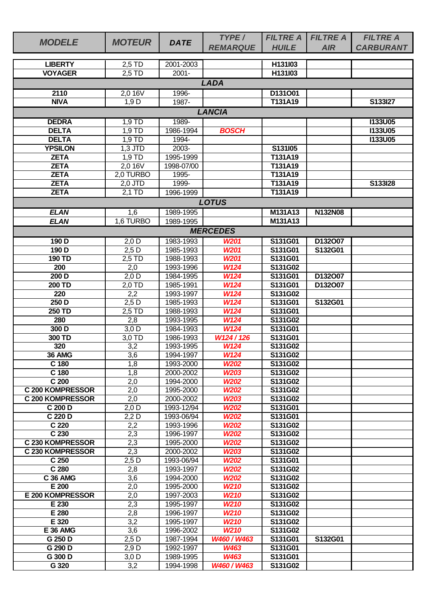| <b>MODELE</b>                                      | <b>MOTEUR</b>       | <b>DATE</b>             | TYPE/<br><b>REMARQUE</b> | <b>FILTRE A</b><br><b>HUILE</b> | <b>FILTRE A</b><br><b>AIR</b> | <b>FILTRE A</b><br><b>CARBURANT</b> |
|----------------------------------------------------|---------------------|-------------------------|--------------------------|---------------------------------|-------------------------------|-------------------------------------|
| <b>LIBERTY</b>                                     | 2,5 TD              | 2001-2003               |                          | H131l03                         |                               |                                     |
| <b>VOYAGER</b>                                     | 2,5 TD              | $2001 -$                |                          | H131l03                         |                               |                                     |
|                                                    |                     |                         | <b>LADA</b>              |                                 |                               |                                     |
| 2110                                               | 2,0 16V             | 1996-                   |                          | D131O01                         |                               |                                     |
| <b>NIVA</b>                                        | 1,9D                | 1987-                   |                          | T131A19                         |                               | S133I27                             |
|                                                    |                     |                         | <b>LANCIA</b>            |                                 |                               |                                     |
| <b>DEDRA</b>                                       | 1,9 TD              | 1989-                   |                          |                                 |                               | <b>I133U05</b>                      |
| <b>DELTA</b>                                       | 1,9 TD              | 1986-1994               | <b>BOSCH</b>             |                                 |                               | <b>I133U05</b>                      |
| <b>DELTA</b>                                       | 1,9 TD              | 1994-                   |                          |                                 |                               | <b>I133U05</b>                      |
| <b>YPSILON</b>                                     | $1,3$ JTD           | 2003-                   |                          | S131I05                         |                               |                                     |
| <b>ZETA</b>                                        | 1,9 TD              | 1995-1999               |                          | T131A19                         |                               |                                     |
| <b>ZETA</b>                                        | 2,0.16V             | 1998-07/00              |                          | T131A19                         |                               |                                     |
| <b>ZETA</b>                                        | 2,0 TURBO           | 1995-                   |                          | T131A19                         |                               |                                     |
| <b>ZETA</b>                                        | 2,0 JTD             | 1999-                   |                          | T131A19                         |                               | S133I28                             |
| <b>ZETA</b>                                        | $2,1$ TD            | 1996-1999               |                          | T131A19                         |                               |                                     |
|                                                    |                     |                         | <b>LOTUS</b>             |                                 |                               |                                     |
| <b>ELAN</b>                                        | 1,6                 | 1989-1995               |                          | M131A13                         | <b>N132N08</b>                |                                     |
| <b>ELAN</b>                                        | 1,6 TURBO           | 1989-1995               |                          | M131A13                         |                               |                                     |
|                                                    |                     |                         | <b>MERCEDES</b>          |                                 |                               |                                     |
| 190 D                                              | $2,0$ D             | 1983-1993               | <b>W201</b>              | S131G01                         | D132007                       |                                     |
| 190D                                               | $2,5$ D             | 1985-1993               | <b>W201</b>              | S131G01                         | S132G01                       |                                     |
| 190 TD                                             | 2,5 TD              | 1988-1993               | <b>W201</b>              | S131G01                         |                               |                                     |
| 200                                                | 2,0                 | 1993-1996               | W124                     | S131G02                         |                               |                                     |
| 200D                                               | $2,0$ D             | 1984-1995               | <b>W124</b>              | S131G01                         | D132O07                       |                                     |
| 200 TD                                             | $2,0$ TD            | 1985-1991               | <b>W124</b>              | S131G01                         | D132O07                       |                                     |
| 220                                                | 2,2                 | 1993-1997               | <b>W124</b>              | S131G02                         |                               |                                     |
| 250D                                               | $2,5$ D             | 1985-1993               | <b>W124</b>              | S131G01                         | S132G01                       |                                     |
| 250 TD                                             | $2.5$ TD            | 1988-1993               | <b>W124</b>              | S131G01                         |                               |                                     |
| 280                                                | 2,8                 | 1993-1995               | <b>W124</b>              | S131G02                         |                               |                                     |
| 300 D                                              | $\overline{3}$ ,0 D | 1984-1993               | <b>W124</b>              | S131G01                         |                               |                                     |
| 300 TD                                             | $3.0$ TD            | 1986-1993               | W124/126                 | S131G01                         |                               |                                     |
| 320                                                | 3,2                 | 1993-1995               | W124                     | S131G02                         |                               |                                     |
| 36 AMG                                             | 3,6                 | 1994-1997               | W124                     | S131G02                         |                               |                                     |
| C 180                                              | 1,8                 | 1993-2000               | <b>W202</b>              | S131G02                         |                               |                                     |
| C 180                                              | 1,8                 | 2000-2002               | W203                     | S131G02                         |                               |                                     |
| C <sub>200</sub>                                   | 2,0                 | 1994-2000               | <b>W202</b>              | S131G02                         |                               |                                     |
| <b>C 200 KOMPRESSOR</b><br><b>C 200 KOMPRESSOR</b> | 2,0                 | 1995-2000               | <b>W202</b><br>W203      | S131G02                         |                               |                                     |
| C 200 D                                            | 2,0<br>$2,0$ D      | 2000-2002<br>1993-12/94 | <b>W202</b>              | S131G02<br>S131G01              |                               |                                     |
| C 220 D                                            | $2,2$ D             | 1993-06/94              | <b>W202</b>              | S131G01                         |                               |                                     |
| C <sub>220</sub>                                   | 2,2                 | 1993-1996               | <b>W202</b>              | S131G02                         |                               |                                     |
| C 230                                              | 2,3                 | 1996-1997               | <b>W202</b>              | S131G02                         |                               |                                     |
| C 230 KOMPRESSOR                                   | 2,3                 | 1995-2000               | <b>W202</b>              | S131G02                         |                               |                                     |
| <b>C 230 KOMPRESSOR</b>                            | 2,3                 | 2000-2002               | <b>W203</b>              | S131G02                         |                               |                                     |
| C 250                                              | $2,5$ D             | 1993-06/94              | <b>W202</b>              | S131G01                         |                               |                                     |
| C 280                                              | 2,8                 | 1993-1997               | <b>W202</b>              | S131G02                         |                               |                                     |
| <b>C 36 AMG</b>                                    | 3,6                 | 1994-2000               | <b>W202</b>              | S131G02                         |                               |                                     |
| E 200                                              | 2,0                 | 1995-2000               | W <sub>210</sub>         | S131G02                         |                               |                                     |
| E 200 KOMPRESSOR                                   | 2,0                 | 1997-2003               | W <sub>210</sub>         | S131G02                         |                               |                                     |
| E 230                                              | 2,3                 | 1995-1997               | W <sub>210</sub>         | S131G02                         |                               |                                     |
| E 280                                              | 2,8                 | 1996-1997               | W <sub>210</sub>         | S131G02                         |                               |                                     |
| E 320                                              | 3,2                 | 1995-1997               | W <sub>210</sub>         | S131G02                         |                               |                                     |
| <b>E 36 AMG</b>                                    | 3,6                 | 1996-2002               | W <sub>210</sub>         | S131G02                         |                               |                                     |
| G 250 D                                            | $2,5$ D             | 1987-1994               | W460 / W463              | S131G01                         | S132G01                       |                                     |
| G 290 D<br>G 300 D                                 | 2,9 D<br>$3,0$ D    | 1992-1997<br>1989-1995  | W463<br><b>W463</b>      | S131G01<br>S131G01              |                               |                                     |
| G 320                                              | 3,2                 | 1994-1998               | W460 / W463              | S131G02                         |                               |                                     |
|                                                    |                     |                         |                          |                                 |                               |                                     |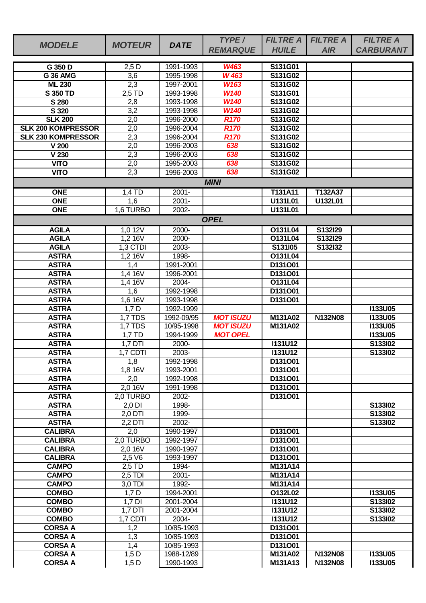|                                                        |                  |                        | TYPE/                      | <b>FILTRE A</b>      | <b>FILTRE A</b> | <b>FILTRE A</b>  |
|--------------------------------------------------------|------------------|------------------------|----------------------------|----------------------|-----------------|------------------|
| <b>MODELE</b>                                          | <b>MOTEUR</b>    | <b>DATE</b>            | <b>REMARQUE</b>            | <b>HUILE</b>         | <b>AIR</b>      | <b>CARBURANT</b> |
|                                                        |                  |                        |                            |                      |                 |                  |
| G 350 D                                                | $2,5$ D          | 1991-1993              | <b>W463</b>                | S131G01              |                 |                  |
| <b>G 36 AMG</b>                                        | $\overline{3,6}$ | 1995-1998              | W 463                      | S131G02              |                 |                  |
| <b>ML 230</b>                                          | 2,3              | 1997-2001              | W163                       | S131G02              |                 |                  |
| <b>S 350 TD</b>                                        | 2,5 TD           | 1993-1998              | W140                       | S131G01              |                 |                  |
| S 280                                                  | 2,8              | 1993-1998              | <b>W140</b>                | S131G02              |                 |                  |
| S 320                                                  | 3,2              | 1993-1998              | W140                       | S131G02              |                 |                  |
| <b>SLK 200</b>                                         | 2,0              | 1996-2000              | <b>R170</b>                | S131G02<br>S131G02   |                 |                  |
| <b>SLK 200 KOMPRESSOR</b><br><b>SLK 230 KOMPRESSOR</b> | 2,0              | 1996-2004              | <b>R170</b><br><b>R170</b> | S131G02              |                 |                  |
| V <sub>200</sub>                                       | 2,3<br>2,0       | 1996-2004<br>1996-2003 | 638                        | S131G02              |                 |                  |
| V 230                                                  |                  | 1996-2003              | 638                        | S131G02              |                 |                  |
| <b>VITO</b>                                            | 2,3<br>2,0       | 1995-2003              | 638                        | S131G02              |                 |                  |
| <b>VITO</b>                                            | 2,3              | 1996-2003              | 638                        | S131G02              |                 |                  |
|                                                        |                  |                        |                            |                      |                 |                  |
|                                                        |                  |                        | <b>MINI</b>                |                      |                 |                  |
| <b>ONE</b>                                             | $1,4$ TD         | $2001 -$               |                            | T131A11              | T132A37         |                  |
| <b>ONE</b>                                             | 1,6              | $2001 -$               |                            | U131L01              | U132L01         |                  |
| <b>ONE</b>                                             | 1,6 TURBO        | 2002-                  |                            | U131L01              |                 |                  |
|                                                        |                  |                        | <b>OPEL</b>                |                      |                 |                  |
| <b>AGILA</b>                                           | 1,012V           | 2000-                  |                            | O131L04              | S132I29         |                  |
| <b>AGILA</b>                                           | 1,216V           | 2000-                  |                            | O131L04              | S132I29         |                  |
| <b>AGILA</b>                                           | 1,3 CTDI         | 2003-                  |                            | S131I05              | S132I32         |                  |
| <b>ASTRA</b>                                           | 1,216V           | 1998-                  |                            | O131L04              |                 |                  |
| <b>ASTRA</b>                                           | 1,4              | 1991-2001              |                            | D131O01              |                 |                  |
| <b>ASTRA</b>                                           | 1,4 16V          | 1996-2001              |                            | D131O01              |                 |                  |
| <b>ASTRA</b>                                           | 1,4 16V          | 2004-                  |                            | O131L04              |                 |                  |
| <b>ASTRA</b>                                           | 1,6              | 1992-1998              |                            | D131O01              |                 |                  |
| <b>ASTRA</b>                                           | 1,6 16V          | 1993-1998              |                            | D131O01              |                 |                  |
| <b>ASTRA</b>                                           | 1,7D             | 1992-1999              |                            |                      |                 | <b>I133U05</b>   |
| <b>ASTRA</b>                                           | 1,7 TDS          | 1992-09/95             | <b>MOT ISUZU</b>           | M131A02              | N132N08         | <b>I133U05</b>   |
| <b>ASTRA</b>                                           | <b>1,7 TDS</b>   | 10/95-1998             | <b>MOT ISUZU</b>           | M131A02              |                 | <b>I133U05</b>   |
| <b>ASTRA</b>                                           | $1,7$ TD         | 1994-1999              | <b>MOT OPEL</b>            |                      |                 | <b>I133U05</b>   |
| <b>ASTRA</b>                                           | $1,7$ DTI        | 2000-                  |                            | <b>I131U12</b>       |                 | S133I02          |
| <b>ASTRA</b>                                           | $1,7$ CDTI       | 2003-                  |                            | <b>1131U12</b>       |                 | S133I02          |
| <b>ASTRA</b><br><b>ASTRA</b>                           | 1,8<br>1,8 16V   | 1992-1998<br>1993-2001 |                            | D131O01              |                 |                  |
| <b>ASTRA</b>                                           |                  | 1992-1998              |                            | D131001<br>D131O01   |                 |                  |
| <b>ASTRA</b>                                           | 2,0<br>2,0 16V   | 1991-1998              |                            | D131O01              |                 |                  |
| <b>ASTRA</b>                                           | 2,0 TURBO        | 2002-                  |                            | D131O01              |                 |                  |
| <b>ASTRA</b>                                           | 2,0 DI           | 1998-                  |                            |                      |                 | S133l02          |
| <b>ASTRA</b>                                           | $2,0$ DTI        | 1999-                  |                            |                      |                 | S133l02          |
| <b>ASTRA</b>                                           | $2.2$ DTI        | 2002-                  |                            |                      |                 | S133I02          |
| <b>CALIBRA</b>                                         | 2,0              | 1990-1997              |                            | D131O01              |                 |                  |
| <b>CALIBRA</b>                                         | 2,0 TURBO        | 1992-1997              |                            | D <sub>131</sub> O01 |                 |                  |
| <b>CALIBRA</b>                                         | 2,0 16V          | 1990-1997              |                            | D131O01              |                 |                  |
| <b>CALIBRA</b>                                         | 2,5 V6           | 1993-1997              |                            | D131O01              |                 |                  |
| <b>CAMPO</b>                                           | 2,5 TD           | 1994-                  |                            | M131A14              |                 |                  |
| <b>CAMPO</b>                                           | $2,5$ TDI        | $2001 -$               |                            | M131A14              |                 |                  |
| <b>CAMPO</b>                                           | $3,0$ TDI        | 1992-                  |                            | M131A14              |                 |                  |
| <b>COMBO</b>                                           | $1,7$ D          | 1994-2001              |                            | O132L02              |                 | <b>I133U05</b>   |
| <b>COMBO</b>                                           | $1,7$ DI         | 2001-2004              |                            | <b>I131U12</b>       |                 | S133l02          |
| <b>COMBO</b>                                           | $1,7$ DTI        | 2001-2004              |                            | <b>I131U12</b>       |                 | S133I02          |
| <b>COMBO</b>                                           | 1,7 CDTI         | 2004-                  |                            | <b>I131U12</b>       |                 | S133I02          |
| <b>CORSA A</b>                                         | 1,2              | 10/85-1993             |                            | D131O01              |                 |                  |
| <b>CORSA A</b>                                         | 1,3              | 10/85-1993             |                            | D131O01              |                 |                  |
| <b>CORSA A</b>                                         | 1,4              | 10/85-1993             |                            | D131O01              |                 |                  |
| <b>CORSA A</b>                                         | $1,5$ D          | 1988-12/89             |                            | M131A02              | <b>N132N08</b>  | <b>I133U05</b>   |
| <b>CORSA A</b>                                         | $1,5$ D          | 1990-1993              |                            | M131A13              | N132N08         | <b>I133U05</b>   |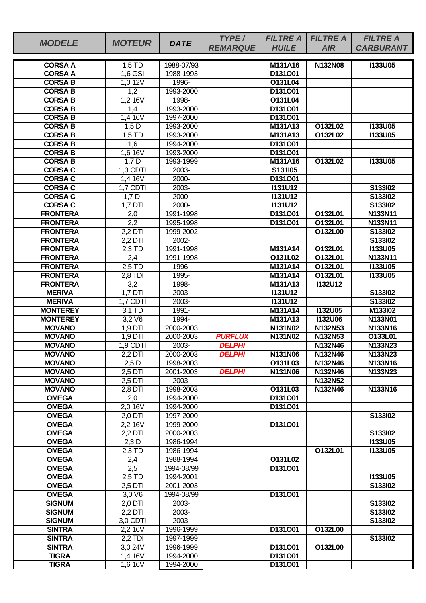| <b>MODELE</b>   | <b>MOTEUR</b>    | <b>DATE</b> | TYPE/                | <b>FILTRE A</b>                  | <b>FILTRE A</b> | <b>FILTRE A</b>  |
|-----------------|------------------|-------------|----------------------|----------------------------------|-----------------|------------------|
|                 |                  |             | <b>REMARQUE</b>      | <b>HUILE</b>                     | <b>AIR</b>      | <b>CARBURANT</b> |
| <b>CORSA A</b>  | $1,5$ TD         | 1988-07/93  |                      | M131A16                          | N132N08         | <b>I133U05</b>   |
| <b>CORSA A</b>  | $1,6$ GSI        | 1988-1993   |                      | D131O01                          |                 |                  |
| <b>CORSA B</b>  | 1,0 12V          | 1996-       |                      | O131L04                          |                 |                  |
| <b>CORSA B</b>  | 1,2              | 1993-2000   |                      | D131O01                          |                 |                  |
| <b>CORSA B</b>  | 1,216V           | 1998-       |                      | O131L04                          |                 |                  |
| <b>CORSA B</b>  | 1,4              | 1993-2000   |                      | D131O01                          |                 |                  |
| <b>CORSA B</b>  | 1,4 16V          | 1997-2000   |                      | D131001                          |                 |                  |
| <b>CORSA B</b>  | $1,5$ D          | 1993-2000   |                      | M131A13                          | O132L02         | <b>I133U05</b>   |
| <b>CORSA B</b>  | $1,5$ TD         | 1993-2000   |                      | M131A13                          | O132L02         | <b>I133U05</b>   |
| <b>CORSA B</b>  | 1,6              | 1994-2000   |                      | D131O01                          |                 |                  |
| <b>CORSA B</b>  | 1,6 16V          | 1993-2000   |                      | D131O01                          |                 |                  |
| <b>CORSA B</b>  | $1,7$ D          | 1993-1999   |                      | M131A16                          | O132L02         | <b>I133U05</b>   |
| <b>CORSA C</b>  | 1,3 CDTI         | 2003-       |                      | S131I05                          |                 |                  |
| <b>CORSA C</b>  | 1,4 16V          | 2000-       |                      | D131O01                          |                 |                  |
| <b>CORSA C</b>  | 1,7 CDTI         | 2003-       |                      | <b>I131U12</b>                   |                 | S133I02          |
| <b>CORSA C</b>  | $1,7$ DI         | 2000-       |                      | <b>I131U12</b>                   |                 | S133I02          |
| <b>CORSA C</b>  | 1,7 DTI          | 2000-       |                      | <b>I131U12</b>                   |                 | S133I02          |
| <b>FRONTERA</b> | 2,0              | 1991-1998   |                      | D131001                          | O132L01         | N133N11          |
| <b>FRONTERA</b> | $\overline{2,2}$ | 1995-1998   |                      | D131O01                          | O132L01         | N133N11          |
| <b>FRONTERA</b> | $2,2$ DTI        | 1999-2002   |                      |                                  | O132L00         | S133I02          |
| <b>FRONTERA</b> | 2,2 DTI          | 2002-       |                      |                                  |                 | S133I02          |
| <b>FRONTERA</b> | $2,3$ TD         | 1991-1998   |                      | M131A14                          | O132L01         | <b>I133U05</b>   |
| <b>FRONTERA</b> | 2,4              | 1991-1998   |                      | O131L02                          | O132L01         | N133N11          |
| <b>FRONTERA</b> | 2,5 TD           | 1996-       |                      | M131A14                          | O132L01         | <b>I133U05</b>   |
| <b>FRONTERA</b> | $2,8$ TDI        | 1995-       |                      | M131A14                          | O132L01         | <b>I133U05</b>   |
| <b>FRONTERA</b> | 3,2              | 1998-       |                      | M131A13                          | <b>I132U12</b>  |                  |
| <b>MERIVA</b>   | $1,7$ DTI        | 2003-       |                      | <b>I131U12</b>                   |                 | S133102          |
| <b>MERIVA</b>   | 1,7 CDTI         | 2003-       |                      | <b>I131U12</b>                   |                 | S133I02          |
| <b>MONTEREY</b> | 3,1 TD           | 1991-       |                      | M131A14                          | <b>I132U05</b>  | M133I02          |
| <b>MONTEREY</b> | 3,2 V6           | 1994-       |                      | M131A13                          | <b>I132U06</b>  | N133N01          |
| <b>MOVANO</b>   | 1,9 DTI          | 2000-2003   |                      | N131N02                          | N132N53         | N133N16          |
| <b>MOVANO</b>   | 1,9 DTI          | 2000-2003   | <b>PURFLUX</b>       | N131N02                          | N132N53         | O133L01          |
| <b>MOVANO</b>   | 1,9 CDTI         | 2003-       | <b>DELPHI</b>        |                                  | N132N46         | N133N23          |
| <b>MOVANO</b>   | 2,2 DTI          | 2000-2003   | <i><b>DELPHI</b></i> | N <sub>131</sub> N <sub>06</sub> | N132N46         | N133N23          |
| <b>MOVANO</b>   | $2,5$ D          | 1998-2003   |                      | O131L03                          | N132N46         | N133N16          |
| <b>MOVANO</b>   | 2,5 DTI          | 2001-2003   | <b>DELPHI</b>        | N131N06                          | <b>N132N46</b>  | N133N23          |
| <b>MOVANO</b>   | 2,5 DTI          | 2003-       |                      |                                  | N132N52         |                  |
| <b>MOVANO</b>   | 2,8 DTI          | 1998-2003   |                      | O131L03                          | N132N46         | N133N16          |
| <b>OMEGA</b>    | 2,0              | 1994-2000   |                      | D131001                          |                 |                  |
| <b>OMEGA</b>    | 2,0 16V          | 1994-2000   |                      | D131O01                          |                 |                  |
| <b>OMEGA</b>    | 2,0 DTI          | 1997-2000   |                      |                                  |                 | S133I02          |
| <b>OMEGA</b>    | 2,2,16V          | 1999-2000   |                      | D131O01                          |                 |                  |
| <b>OMEGA</b>    | 2.2 DTI          | 2000-2003   |                      |                                  |                 | S133I02          |
| <b>OMEGA</b>    | $2,3$ D          | 1986-1994   |                      |                                  |                 | <b>I133U05</b>   |
| <b>OMEGA</b>    | $2,3$ TD         | 1986-1994   |                      |                                  | O132L01         | <b>I133U05</b>   |
| <b>OMEGA</b>    | 2,4              | 1988-1994   |                      | O131L02                          |                 |                  |
| <b>OMEGA</b>    | 2,5              | 1994-08/99  |                      | D131O01                          |                 |                  |
| <b>OMEGA</b>    | 2,5 TD           | 1994-2001   |                      |                                  |                 | <b>I133U05</b>   |
| <b>OMEGA</b>    | 2,5 DTI          | 2001-2003   |                      |                                  |                 | S133I02          |
| <b>OMEGA</b>    | 3,0 V6           | 1994-08/99  |                      | D131O01                          |                 |                  |
| <b>SIGNUM</b>   | 2,0 DTI          | 2003-       |                      |                                  |                 | S133I02          |
| <b>SIGNUM</b>   | 2,2 DTI          | 2003-       |                      |                                  |                 | S133l02          |
| <b>SIGNUM</b>   | $3,0$ CDTI       | 2003-       |                      |                                  |                 | S133I02          |
| <b>SINTRA</b>   | 2,2 16V          | 1996-1999   |                      | D131O01                          | O132L00         |                  |
| <b>SINTRA</b>   | $2,2$ TDI        | 1997-1999   |                      |                                  |                 | S133I02          |
| <b>SINTRA</b>   | 3,0 24V          | 1996-1999   |                      | D131001                          | O132L00         |                  |
| <b>TIGRA</b>    | 1,4 16V          | 1994-2000   |                      | D131001                          |                 |                  |
| <b>TIGRA</b>    | $1,616\sqrt{ }$  | 1994-2000   |                      | D131001                          |                 |                  |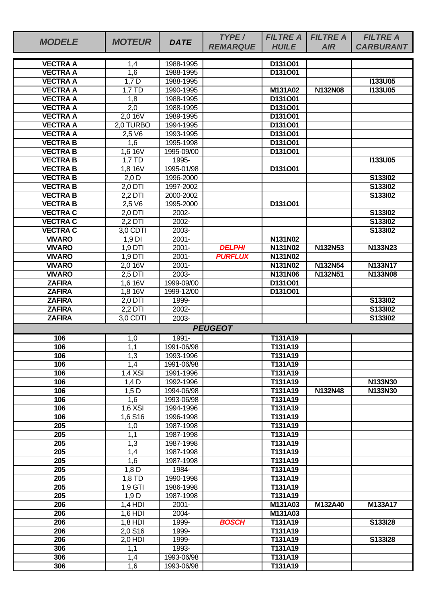| <b>MODELE</b>                      | <b>MOTEUR</b>        | <b>DATE</b>             | TYPE/           | <b>FILTRE A</b>    | <b>FILTRE A</b> | <b>FILTRE A</b>  |
|------------------------------------|----------------------|-------------------------|-----------------|--------------------|-----------------|------------------|
|                                    |                      |                         | <b>REMARQUE</b> | <b>HUILE</b>       | <b>AIR</b>      | <b>CARBURANT</b> |
| <b>VECTRA A</b>                    | 1,4                  | 1988-1995               |                 | D131O01            |                 |                  |
| <b>VECTRA A</b>                    | $\overline{1,6}$     | 1988-1995               |                 | D131O01            |                 |                  |
| <b>VECTRA A</b>                    | $1,7$ D              | 1988-1995               |                 |                    |                 | <b>I133U05</b>   |
| <b>VECTRA A</b>                    | 1,7 TD               | 1990-1995               |                 | M131A02            | <b>N132N08</b>  | <b>I133U05</b>   |
| <b>VECTRA A</b>                    | 1,8                  | 1988-1995               |                 | D131O01            |                 |                  |
| <b>VECTRA A</b>                    | $\overline{2,0}$     | 1988-1995               |                 | D131001            |                 |                  |
| <b>VECTRA A</b>                    | 2,0 16V              | 1989-1995               |                 | D131001            |                 |                  |
| <b>VECTRA A</b>                    | 2,0 TURBO            | 1994-1995               |                 | D131O01            |                 |                  |
| <b>VECTRA A</b>                    | 2,5 V6               | 1993-1995               |                 | D131001            |                 |                  |
| <b>VECTRAB</b>                     | 1,6                  | 1995-1998               |                 | D131001            |                 |                  |
| <b>VECTRAB</b>                     | 1,6 16V              | 1995-09/00              |                 | D131O01            |                 |                  |
| <b>VECTRA B</b><br><b>VECTRA B</b> | 1,7 TD               | 1995-<br>1995-01/98     |                 | D131O01            |                 | <b>I133U05</b>   |
| <b>VECTRA B</b>                    | 1,8 16V<br>$2,0$ D   | 1996-2000               |                 |                    |                 | S133I02          |
| <b>VECTRA B</b>                    | 2,0 DTI              | 1997-2002               |                 |                    |                 | S133102          |
| <b>VECTRAB</b>                     | 2,2 DTI              | 2000-2002               |                 |                    |                 | S133I02          |
| <b>VECTRA B</b>                    | 2,5 V6               | 1995-2000               |                 | D131O01            |                 |                  |
| <b>VECTRA C</b>                    | $2,0$ DTI            | 2002-                   |                 |                    |                 | S133102          |
| <b>VECTRA C</b>                    | 2,2 DTI              | 2002-                   |                 |                    |                 | S133I02          |
| <b>VECTRA C</b>                    | 3,0 CDTI             | 2003-                   |                 |                    |                 | S133I02          |
| <b>VIVARO</b>                      | 1,9 DI               | $2001 -$                |                 | N131N02            |                 |                  |
| <b>VIVARO</b>                      | 1,9 DTI              | $2001 -$                | <b>DELPHI</b>   | N131N02            | N132N53         | N133N23          |
| <b>VIVARO</b>                      | $1,9$ DTI            | $2001 -$                | <b>PURFLUX</b>  | <b>N131N02</b>     |                 |                  |
| <b>VIVARO</b>                      | 2.0 16V              | $2001 -$                |                 | N131N02            | N132N54         | N133N17          |
| <b>VIVARO</b>                      | 2,5 DTI              | 2003-                   |                 | N131N06            | N132N51         | <b>N133N08</b>   |
| <b>ZAFIRA</b>                      | 1,6 16V              | 1999-09/00              |                 | D131001            |                 |                  |
| <b>ZAFIRA</b>                      | 1,8 16V              | 1999-12/00              |                 | D131O01            |                 |                  |
| <b>ZAFIRA</b>                      | 2,0 DTI              | 1999-                   |                 |                    |                 | S133I02          |
| <b>ZAFIRA</b>                      | $2,2$ DTI            | $2002 -$                |                 |                    |                 | S133102          |
| <b>ZAFIRA</b>                      | 3,0 CDTI             | 2003-                   |                 |                    |                 | S133I02          |
|                                    |                      |                         | <b>PEUGEOT</b>  |                    |                 |                  |
| 106                                | 1,0                  | 1991-                   |                 | T131A19            |                 |                  |
| 106                                | 1,1                  | 1991-06/98              |                 | T131A19            |                 |                  |
| 106<br>106                         | 1,3<br>1,4           | 1993-1996               |                 | T131A19<br>T131A19 |                 |                  |
| 106                                | $1,4$ XSI            | 1991-06/98<br>1991-1996 |                 | T131A19            |                 |                  |
| 106                                | $1,4$ D              | 1992-1996               |                 | T131A19            |                 | N133N30          |
| 106                                | $1,5$ D              | 1994-06/98              |                 | T131A19            | N132N48         | N133N30          |
| 106                                | $\overline{1,6}$     | 1993-06/98              |                 | T131A19            |                 |                  |
| 106                                | $1,6$ XSI            | 1994-1996               |                 | T131A19            |                 |                  |
| 106                                | 1,6 S16              | 1996-1998               |                 | T131A19            |                 |                  |
| 205                                | 1,0                  | 1987-1998               |                 | T131A19            |                 |                  |
| $\overline{205}$                   | 1,1                  | 1987-1998               |                 | T131A19            |                 |                  |
| 205                                | 1,3                  | 1987-1998               |                 | T131A19            |                 |                  |
| 205                                | 1,4                  | 1987-1998               |                 | T131A19            |                 |                  |
| 205                                | 1,6                  | 1987-1998               |                 | T131A19            |                 |                  |
| 205                                | $1,8$ D              | 1984-                   |                 | T131A19            |                 |                  |
| $\overline{205}$                   | 1,8 TD               | 1990-1998               |                 | T131A19            |                 |                  |
| 205                                | 1,9 GTI              | 1986-1998               |                 | T131A19            |                 |                  |
| 205                                | 1,9D                 | 1987-1998               |                 | T131A19            |                 |                  |
| 206                                | $1,4$ HDI            | $2001 -$                |                 | M131A03            | M132A40         | M133A17          |
| 206<br>206                         | $1,6$ HDI            | 2004-<br>1999-          | <b>BOSCH</b>    | M131A03<br>T131A19 |                 | S133I28          |
| 206                                | $1,8$ HDI<br>2,0 S16 | 1999-                   |                 | T131A19            |                 |                  |
| 206                                | 2,0 HDI              | 1999-                   |                 | T131A19            |                 | S133I28          |
| 306                                | 1,1                  | 1993-                   |                 | T131A19            |                 |                  |
| 306                                | 1,4                  | 1993-06/98              |                 | T131A19            |                 |                  |
| 306                                | 1,6                  | 1993-06/98              |                 | T131A19            |                 |                  |
|                                    |                      |                         |                 |                    |                 |                  |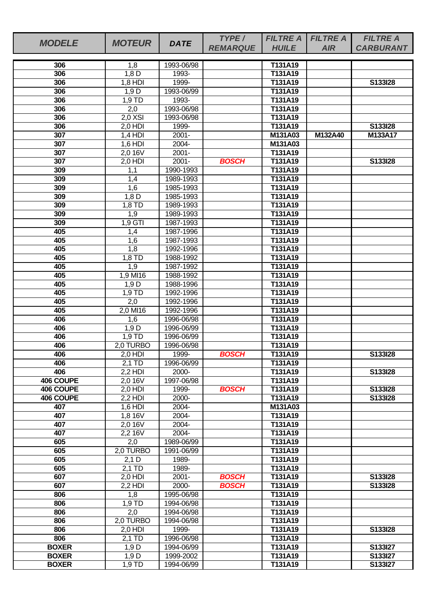| <b>MODELE</b> | <b>MOTEUR</b>       | <b>DATE</b>              | TYPE/           | <b>FILTRE A</b>    | <b>FILTRE A</b> | <b>FILTRE A</b>  |
|---------------|---------------------|--------------------------|-----------------|--------------------|-----------------|------------------|
|               |                     |                          | <b>REMARQUE</b> | <b>HUILE</b>       | <b>AIR</b>      | <b>CARBURANT</b> |
| 306           | 1,8                 | 1993-06/98               |                 | T131A19            |                 |                  |
| 306           | 1,8D                | 1993-                    |                 | T131A19            |                 |                  |
| 306           | $1,8$ HDI           | 1999-                    |                 | T131A19            |                 | S133I28          |
| 306           | 1,9D                | 1993-06/99               |                 | T131A19            |                 |                  |
| 306           | $1,9$ TD            | 1993-                    |                 | T131A19            |                 |                  |
| 306           | 2,0                 | 1993-06/98               |                 | T131A19            |                 |                  |
| 306           | $2,0$ XSI           | 1993-06/98               |                 | T131A19            |                 |                  |
| 306           | 2,0 HDI             | 1999-                    |                 | T131A19            |                 | S133I28          |
| 307           | $1,4$ HDI           | $2001 -$                 |                 | M131A03            | M132A40         | M133A17          |
| 307           | 1,6 HDI             | 2004-                    |                 | M131A03            |                 |                  |
| 307           | 2,0 16V             | $2001 -$                 |                 | T131A19            |                 |                  |
| 307           | 2,0 HDI             | $2001 -$                 | <b>BOSCH</b>    | T131A19            |                 | S133I28          |
| 309           | 1,1                 | 1990-1993                |                 | T131A19            |                 |                  |
| 309           | 1,4                 | 1989-1993                |                 | T131A19            |                 |                  |
| 309<br>309    | 1,6<br>$1,8$ D      | 1985-1993<br>1985-1993   |                 | T131A19<br>T131A19 |                 |                  |
| 309           | 1.8 TD              | 1989-1993                |                 | T131A19            |                 |                  |
| 309           | 1,9                 | 1989-1993                |                 | T131A19            |                 |                  |
| 309           | $1,9$ GTI           | 1987-1993                |                 | T131A19            |                 |                  |
| 405           | 1,4                 | 1987-1996                |                 | T131A19            |                 |                  |
| 405           | 1,6                 | 1987-1993                |                 | T131A19            |                 |                  |
| 405           | $\overline{1,8}$    | 1992-1996                |                 | T131A19            |                 |                  |
| 405           | 1,8 TD              | 1988-1992                |                 | T131A19            |                 |                  |
| 405           | 1,9                 | 1987-1992                |                 | T131A19            |                 |                  |
| 405           | 1,9 MI16            | 1988-1992                |                 | T131A19            |                 |                  |
| 405           | 1,9D                | 1988-1996                |                 | T131A19            |                 |                  |
| 405           | $1,9$ TD            | 1992-1996                |                 | T131A19            |                 |                  |
| 405           | 2,0                 | 1992-1996                |                 | T131A19            |                 |                  |
| 405           | 2,0 MI16            | 1992-1996                |                 | T131A19            |                 |                  |
| 406           | 1,6                 | 1996-06/98               |                 | T131A19            |                 |                  |
| 406           | $1,9\overline{D}$   | 1996-06/99               |                 | T131A19            |                 |                  |
| 406           | 1,9 TD              | 1996-06/99               |                 | T131A19            |                 |                  |
| 406           | 2,0 TURBO           | 1996-06/98               |                 | T131A19            |                 |                  |
| 406           | $2,0$ HDI           | 1999-                    | BOSCH           | T131A19            |                 | S133I28          |
| 406<br>406    | 2,1 TD<br>$2,2$ HDI | 1996-06/99<br>2000-      |                 | T131A19<br>T131A19 |                 | S133I28          |
| 406 COUPE     | 2,0 16V             | 1997-06/98               |                 | T131A19            |                 |                  |
| 406 COUPE     | 2.0 HDI             | 1999-                    | <b>BOSCH</b>    | T131A19            |                 | S133I28          |
| 406 COUPE     | $2,2$ HDI           | 2000-                    |                 | T131A19            |                 | S133I28          |
| 407           | $1,6$ HDI           | 2004-                    |                 | M131A03            |                 |                  |
| 407           | 1,8 16V             | 2004-                    |                 | T131A19            |                 |                  |
| 407           | 2,0 16V             | 2004-                    |                 | T131A19            |                 |                  |
| 407           | 2,2 16V             | 2004-                    |                 | T131A19            |                 |                  |
| 605           | 2,0                 | 1989-06/99               |                 | T131A19            |                 |                  |
| 605           | 2,0 TURBO           | 1991-06/99               |                 | T131A19            |                 |                  |
| 605           | $2,1$ D             | 1989-                    |                 | T131A19            |                 |                  |
| 605           | $2,1$ TD            | 1989-                    |                 | T131A19            |                 |                  |
| 607           | 2,0 HDI             | $2001 -$                 | <b>BOSCH</b>    | T131A19            |                 | S133I28          |
| 607           | $2.2$ HDI           | 2000-                    | <b>BOSCH</b>    | T131A19            |                 | S133I28          |
| 806           | 1,8                 | 1995-06/98               |                 | T131A19            |                 |                  |
| 806<br>806    | 1,9 TD              | 1994-06/98               |                 | T131A19<br>T131A19 |                 |                  |
| 806           | 2,0<br>2,0 TURBO    | 1994-06/98<br>1994-06/98 |                 | T131A19            |                 |                  |
| 806           | $2,0$ HDI           | 1999-                    |                 | T131A19            |                 | S133I28          |
| 806           | 2,1 TD              | 1996-06/98               |                 | T131A19            |                 |                  |
| <b>BOXER</b>  | 1,9D                | 1994-06/99               |                 | T131A19            |                 | S133I27          |
| <b>BOXER</b>  | 1,9D                | 1999-2002                |                 | T131A19            |                 | S133I27          |
| <b>BOXER</b>  | 1,9 TD              | 1994-06/99               |                 | T131A19            |                 | S133I27          |
|               |                     |                          |                 |                    |                 |                  |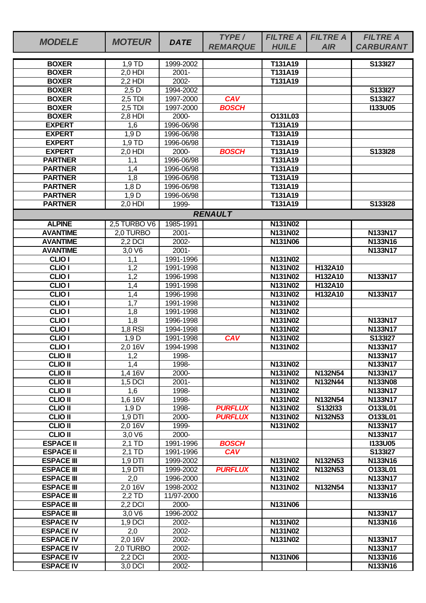| <b>MODELE</b>                          | <b>MOTEUR</b>           | <b>DATE</b>            | TYPE/<br><b>REMARQUE</b> | <b>FILTRE A</b><br><b>HUILE</b> | <b>FILTRE A</b><br><b>AIR</b> | <b>FILTRE A</b><br><b>CARBURANT</b> |
|----------------------------------------|-------------------------|------------------------|--------------------------|---------------------------------|-------------------------------|-------------------------------------|
| <b>BOXER</b>                           |                         | 1999-2002              |                          | T131A19                         |                               | S133I27                             |
| <b>BOXER</b>                           | 1,9 TD<br>2,0 HDI       | $2001 -$               |                          | T131A19                         |                               |                                     |
| <b>BOXER</b>                           | $2.2$ HDI               | 2002-                  |                          | T131A19                         |                               |                                     |
| <b>BOXER</b>                           | $2,5$ D                 | 1994-2002              |                          |                                 |                               | S133I27                             |
| <b>BOXER</b>                           | $2,5$ TDI               | 1997-2000              | <b>CAV</b>               |                                 |                               | S133I27                             |
| <b>BOXER</b>                           | $2,5$ TDI               | 1997-2000              | <b>BOSCH</b>             |                                 |                               | <b>I133U05</b>                      |
| <b>BOXER</b>                           | $2,8$ HDI               | 2000-                  |                          | O131L03                         |                               |                                     |
| <b>EXPERT</b>                          | 1,6                     | 1996-06/98             |                          | T131A19                         |                               |                                     |
| <b>EXPERT</b>                          | 1,9 D                   | 1996-06/98             |                          | T131A19                         |                               |                                     |
| <b>EXPERT</b>                          | 1,9 TD                  | 1996-06/98             |                          | T131A19                         |                               |                                     |
| <b>EXPERT</b>                          | $2,0$ HDI               | 2000-                  | <b>BOSCH</b>             | T131A19                         |                               | S133I28                             |
| <b>PARTNER</b>                         | 1,1                     | 1996-06/98             |                          | T131A19                         |                               |                                     |
| <b>PARTNER</b>                         | 1,4                     | 1996-06/98             |                          | T131A19                         |                               |                                     |
| <b>PARTNER</b>                         | 1,8                     | 1996-06/98             |                          | T131A19                         |                               |                                     |
| <b>PARTNER</b>                         | $1,8$ D                 | 1996-06/98             |                          | T131A19                         |                               |                                     |
| <b>PARTNER</b>                         | 1,9D                    | 1996-06/98             |                          | T131A19                         |                               |                                     |
| <b>PARTNER</b>                         | 2,0 HDI                 | 1999-                  |                          | T131A19                         |                               | S133I28                             |
|                                        |                         |                        | <b>RENAULT</b>           |                                 |                               |                                     |
| <b>ALPINE</b>                          | 2,5 TURBO V6            | 1985-1991              |                          | N131N02                         |                               |                                     |
| <b>AVANTIME</b>                        | 2,0 TURBO               | $2001 -$               |                          | N131N02                         |                               | N133N17                             |
| <b>AVANTIME</b>                        | 2,2 DCI                 | 2002-                  |                          | N131N06                         |                               | N133N16                             |
| <b>AVANTIME</b>                        | 3,0V6                   | $2001 -$               |                          |                                 |                               | <b>N133N17</b>                      |
| <b>CLIO I</b>                          | 1,1                     | 1991-1996              |                          | N131N02                         |                               |                                     |
| <b>CLIO I</b>                          | 1,2                     | 1991-1998              |                          | N131N02                         | H132A10                       |                                     |
| <b>CLIO I</b>                          | 1,2                     | 1996-1998              |                          | N131N02                         | H132A10                       | <b>N133N17</b>                      |
| <b>CLIO I</b><br><b>CLIO I</b>         | 1,4                     | 1991-1998              |                          | N131N02<br>N131N02              | H132A10<br>H132A10            |                                     |
| <b>CLIO I</b>                          | 1,4<br>$\overline{1,7}$ | 1996-1998<br>1991-1998 |                          | N131N02                         |                               | N133N17                             |
| <b>CLIO I</b>                          | 1,8                     | 1991-1998              |                          | N131N02                         |                               |                                     |
| <b>CLIO I</b>                          | $1,\overline{8}$        | 1996-1998              |                          | N131N02                         |                               | N133N17                             |
| <b>CLIO I</b>                          | $1,8$ RSI               | 1994-1998              |                          | N131N02                         |                               | <b>N133N17</b>                      |
| CLIO <sub>I</sub>                      | 1,9D                    | 1991-1998              | <b>CAV</b>               | N131N02                         |                               | S133I27                             |
| <b>CLIO I</b>                          | 2,0 16V                 | 1994-1998              |                          | N131N02                         |                               | N133N17                             |
| <b>CLIO II</b>                         | 1,2                     | 1998-                  |                          |                                 |                               | <b>N133N17</b>                      |
| <b>CLIO II</b>                         | 1,4                     | 1998-                  |                          | N131N02                         |                               | N133N17                             |
| <b>CLIO II</b>                         | 1,4 16V                 | 2000-                  |                          | N131N02                         | N132N54                       | N133N17                             |
| <b>CLIO II</b>                         | 1,5 DCI                 | $2001 -$               |                          | N131N02                         | N132N44                       | N133N08                             |
| <b>CLIO II</b>                         | 1,6                     | 1998-                  |                          | N131N02                         |                               | N133N17                             |
| <b>CLIO II</b>                         | 1,6 16V                 | 1998-                  |                          | N131N02                         | N132N54                       | <b>N133N17</b>                      |
| <b>CLIO II</b>                         | 1,9D                    | 1998-                  | <b>PURFLUX</b>           | N131N02                         | S132I33                       | O133L01                             |
| <b>CLIO II</b>                         | $1,9$ DTI               | 2000-                  | <b>PURFLUX</b>           | N131N02                         | N132N53                       | O133L01                             |
| <b>CLIO II</b>                         | $2,0$ 16V               | 1999-                  |                          | N131N02                         |                               | N133N17                             |
| <b>CLIO II</b>                         | 3,0 V6                  | 2000-                  |                          |                                 |                               | N133N17                             |
| <b>ESPACE II</b>                       | 2,1 TD                  | 1991-1996              | <b>BOSCH</b>             |                                 |                               | <b>I133U05</b>                      |
| <b>ESPACE II</b>                       | 2,1 TD                  | 1991-1996              | <b>CAV</b>               |                                 |                               | S133I27                             |
| <b>ESPACE III</b>                      | 1,9 DTI                 | 1999-2002              |                          | N131N02                         | N132N53                       | N133N16                             |
| <b>ESPACE III</b><br><b>ESPACE III</b> | 1,9 DTI<br>2,0          | 1999-2002<br>1996-2000 | <b>PURFLUX</b>           | N131N02<br>N131N02              | N132N53                       | O133L01<br>N133N17                  |
| <b>ESPACE III</b>                      | 2,0 16V                 | 1998-2002              |                          | N131N02                         | N132N54                       | N133N17                             |
| <b>ESPACE III</b>                      | 2,2 TD                  | 11/97-2000             |                          |                                 |                               | N133N16                             |
| <b>ESPACE III</b>                      | 2,2 DCI                 | 2000-                  |                          | N131N06                         |                               |                                     |
| <b>ESPACE III</b>                      | 3,0 V6                  | 1996-2002              |                          |                                 |                               | N133N17                             |
| <b>ESPACE IV</b>                       | 1,9 DCI                 | 2002-                  |                          | N131N02                         |                               | N133N16                             |
| <b>ESPACE IV</b>                       | 2,0                     | 2002-                  |                          | N131N02                         |                               |                                     |
| <b>ESPACE IV</b>                       | 2,0 16V                 | 2002-                  |                          | <b>N131N02</b>                  |                               | N133N17                             |
| <b>ESPACE IV</b>                       | 2,0 TURBO               | 2002-                  |                          |                                 |                               | <b>N133N17</b>                      |
| <b>ESPACE IV</b>                       | 2,2 DCI                 | 2002-                  |                          | N131N06                         |                               | N133N16                             |
| <b>ESPACE IV</b>                       | 3,0 DCI                 | 2002-                  |                          |                                 |                               | N133N16                             |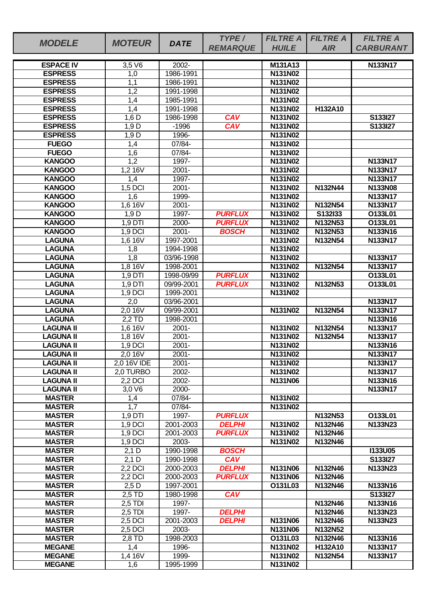|                                  |                |                 | TYPE/           | <b>FILTRE A</b>    | <b>FILTRE A</b> | <b>FILTRE A</b>  |
|----------------------------------|----------------|-----------------|-----------------|--------------------|-----------------|------------------|
| <b>MODELE</b>                    | <b>MOTEUR</b>  | <b>DATE</b>     | <b>REMARQUE</b> | <b>HUILE</b>       | <b>AIR</b>      | <b>CARBURANT</b> |
|                                  |                |                 |                 |                    |                 |                  |
| <b>ESPACE IV</b>                 | 3,5 V6         | 2002-           |                 | M131A13            |                 | N133N17          |
| <b>ESPRESS</b>                   | 1,0            | 1986-1991       |                 | N131N02            |                 |                  |
| <b>ESPRESS</b>                   | 1,1            | 1986-1991       |                 | N131N02            |                 |                  |
| <b>ESPRESS</b>                   | 1,2            | 1991-1998       |                 | N131N02            |                 |                  |
| <b>ESPRESS</b>                   | 1,4            | 1985-1991       |                 | N131N02            |                 |                  |
| <b>ESPRESS</b>                   | 1,4            | 1991-1998       |                 | N131N02            | H132A10         |                  |
| <b>ESPRESS</b>                   | $1,6$ D        | 1986-1998       | <b>CAV</b>      | <b>N131N02</b>     |                 | S133I27          |
| <b>ESPRESS</b><br><b>ESPRESS</b> | 1,9D           | $-1996$         | <b>CAV</b>      | N131N02            |                 | S133I27          |
| <b>FUEGO</b>                     | 1,9D           | 1996-<br>07/84- |                 | N131N02<br>N131N02 |                 |                  |
| <b>FUEGO</b>                     | 1,4<br>1,6     | 07/84-          |                 | N131N02            |                 |                  |
| <b>KANGOO</b>                    | 1,2            | 1997-           |                 | N131N02            |                 | N133N17          |
| <b>KANGOO</b>                    | 1,216V         | $2001 -$        |                 | N131N02            |                 | N133N17          |
| <b>KANGOO</b>                    | 1,4            | 1997-           |                 | N131N02            |                 | N133N17          |
| <b>KANGOO</b>                    | 1,5 DCI        | $2001 -$        |                 | <b>N131N02</b>     | N132N44         | N133N08          |
| <b>KANGOO</b>                    | 1,6            | 1999-           |                 | N131N02            |                 | N133N17          |
| <b>KANGOO</b>                    | 1,6 16V        | $2001 -$        |                 | N131N02            | N132N54         | N133N17          |
| <b>KANGOO</b>                    | 1,9D           | 1997-           | <b>PURFLUX</b>  | N131N02            | S132I33         | O133L01          |
| <b>KANGOO</b>                    | 1,9 DTI        | 2000-           | <b>PURFLUX</b>  | <b>N131N02</b>     | N132N53         | O133L01          |
| <b>KANGOO</b>                    | 1,9 DCI        | 2001-           | <b>BOSCH</b>    | N131N02            | N132N53         | N133N16          |
| <b>LAGUNA</b>                    | 1,6 16V        | 1997-2001       |                 | N131N02            | N132N54         | N133N17          |
| <b>LAGUNA</b>                    | 1,8            | 1994-1998       |                 | N131N02            |                 |                  |
| <b>LAGUNA</b>                    | 1,8            | 03/96-1998      |                 | N131N02            |                 | N133N17          |
| <b>LAGUNA</b>                    | 1,8 16V        | 1998-2001       |                 | N131N02            | <b>N132N54</b>  | N133N17          |
| <b>LAGUNA</b>                    | $1,9$ DTI      | 1998-09/99      | <b>PURFLUX</b>  | N131N02            |                 | O133L01          |
| <b>LAGUNA</b>                    | 1,9 DTI        | 09/99-2001      | <b>PURFLUX</b>  | N131N02            | N132N53         | O133L01          |
| <b>LAGUNA</b>                    | 1.9 DCI        | 1999-2001       |                 | N131N02            |                 |                  |
| <b>LAGUNA</b>                    | 2,0            | 03/96-2001      |                 |                    |                 | N133N17          |
| <b>LAGUNA</b>                    | 2,0 16V        | 09/99-2001      |                 | N131N02            | N132N54         | N133N17          |
| <b>LAGUNA</b>                    | $2,2$ TD       | 1998-2001       |                 |                    |                 | N133N16          |
| <b>LAGUNA II</b>                 | 1,6 16V        | $2001 -$        |                 | N131N02            | N132N54         | N133N17          |
| <b>LAGUNA II</b>                 | 1,8 16V        | $2001 -$        |                 | N131N02            | N132N54         | N133N17          |
| <b>LAGUNA II</b>                 | 1,9 DCI        | $2001 -$        |                 | N131N02            |                 | N133N16          |
| <b>LAGUNA II</b>                 | 2,016V         | $2001 -$        |                 | N131N02            |                 | N133N17          |
| <b>LAGUNA II</b>                 | 2,0 16V IDE    | $2001 -$        |                 | N131N02            |                 | N133N17          |
| <b>LAGUNA II</b>                 | 2.0 TURBO      | 2002-           |                 | N131N02            |                 | N133N17          |
| <b>LAGUNA II</b>                 | 2.2 DCI        | 2002-           |                 | <b>N131N06</b>     |                 | N133N16          |
| <b>LAGUNA II</b>                 | $3,0 \sqrt{6}$ | 2000-<br>07/84- |                 |                    |                 | N133N17          |
| <b>MASTER</b><br><b>MASTER</b>   | 1,4<br>1,7     | 07/84-          |                 | N131N02<br>N131N02 |                 |                  |
| <b>MASTER</b>                    | 1,9 DTI        | 1997-           | <b>PURFLUX</b>  |                    | N132N53         | O133L01          |
| <b>MASTER</b>                    | 1,9 DCI        | 2001-2003       | <b>DELPHI</b>   | N131N02            | N132N46         | N133N23          |
| <b>MASTER</b>                    | 1,9 DCI        | 2001-2003       | <b>PURFLUX</b>  | N131N02            | N132N46         |                  |
| <b>MASTER</b>                    | 1,9 DCI        | 2003-           |                 | N131N02            | N132N46         |                  |
| <b>MASTER</b>                    | $2,1$ D        | 1990-1998       | <b>BOSCH</b>    |                    |                 | <b>I133U05</b>   |
| <b>MASTER</b>                    | $2,1$ D        | 1990-1998       | <b>CAV</b>      |                    |                 | S133I27          |
| <b>MASTER</b>                    | 2,2 DCI        | 2000-2003       | <b>DELPHI</b>   | N131N06            | N132N46         | N133N23          |
| <b>MASTER</b>                    | 2,2 DCI        | 2000-2003       | <b>PURFLUX</b>  | <b>N131N06</b>     | N132N46         |                  |
| <b>MASTER</b>                    | $2,5$ D        | 1997-2001       |                 | O131L03            | N132N46         | N133N16          |
| <b>MASTER</b>                    | 2,5 TD         | 1980-1998       | <b>CAV</b>      |                    |                 | S133I27          |
| <b>MASTER</b>                    | $2,5$ TDI      | 1997-           |                 |                    | N132N46         | N133N16          |
| <b>MASTER</b>                    | $2,5$ TDI      | 1997-           | <b>DELPHI</b>   |                    | N132N46         | N133N23          |
| <b>MASTER</b>                    | 2,5 DCI        | 2001-2003       | <b>DELPHI</b>   | N131N06            | N132N46         | N133N23          |
| <b>MASTER</b>                    | 2,5 DCI        | 2003-           |                 | N131N06            | N132N52         |                  |
| <b>MASTER</b>                    | 2,8 TD         | 1998-2003       |                 | O131L03            | N132N46         | N133N16          |
| <b>MEGANE</b>                    | 1,4            | 1996-           |                 | N131N02            | H132A10         | N133N17          |
| <b>MEGANE</b>                    | 1,4 16V        | 1999-           |                 | N131N02            | N132N54         | N133N17          |
| <b>MEGANE</b>                    | 1,6            | 1995-1999       |                 | N131N02            |                 |                  |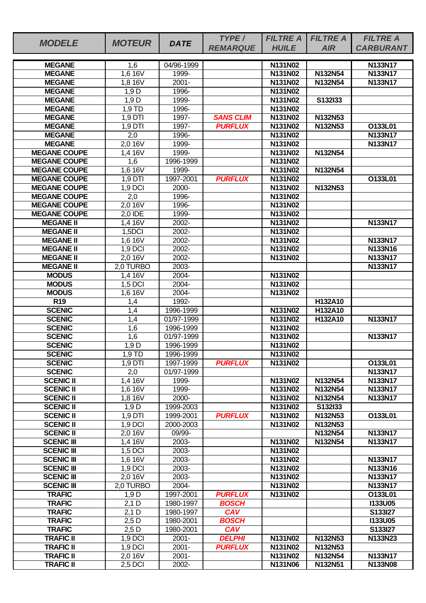|                     |               |             | TYPE/            | <b>FILTRE A</b> | <b>FILTRE A</b> | <b>FILTRE A</b>  |
|---------------------|---------------|-------------|------------------|-----------------|-----------------|------------------|
| <b>MODELE</b>       | <b>MOTEUR</b> | <b>DATE</b> | <b>REMARQUE</b>  | <b>HUILE</b>    | <b>AIR</b>      | <b>CARBURANT</b> |
|                     |               |             |                  |                 |                 |                  |
| <b>MEGANE</b>       | 1,6           | 04/96-1999  |                  | N131N02         |                 | N133N17          |
| <b>MEGANE</b>       | 1,6 16V       | 1999-       |                  | N131N02         | N132N54         | <b>N133N17</b>   |
| <b>MEGANE</b>       | 1,8 16V       | $2001 -$    |                  | N131N02         | N132N54         | N133N17          |
| <b>MEGANE</b>       | 1,9 D         | 1996-       |                  | N131N02         |                 |                  |
| <b>MEGANE</b>       | 1,9D          | 1999-       |                  | N131N02         | S132I33         |                  |
| <b>MEGANE</b>       | 1,9 TD        | 1996-       |                  | <b>N131N02</b>  |                 |                  |
| <b>MEGANE</b>       | $1,9$ DTI     | 1997-       | <b>SANS CLIM</b> | <b>N131N02</b>  | N132N53         |                  |
| <b>MEGANE</b>       | 1,9 DTI       | 1997-       | <b>PURFLUX</b>   | N131N02         | N132N53         | O133L01          |
| <b>MEGANE</b>       | 2,0           | 1996-       |                  | N131N02         |                 | N133N17          |
| <b>MEGANE</b>       | 2,0 16V       | 1999-       |                  | N131N02         |                 | N133N17          |
| <b>MEGANE COUPE</b> | 1,4 16V       | 1999-       |                  | N131N02         | N132N54         |                  |
| <b>MEGANE COUPE</b> | 1,6           | 1996-1999   |                  | N131N02         |                 |                  |
| <b>MEGANE COUPE</b> | 1,6 16V       | 1999-       |                  | N131N02         | N132N54         |                  |
| <b>MEGANE COUPE</b> | 1,9 DTI       | 1997-2001   | <b>PURFLUX</b>   | N131N02         |                 | O133L01          |
| <b>MEGANE COUPE</b> | 1,9 DCI       | 2000-       |                  | N131N02         | N132N53         |                  |
| <b>MEGANE COUPE</b> | 2,0           | 1996-       |                  | N131N02         |                 |                  |
| <b>MEGANE COUPE</b> | 2,0 16V       | 1996-       |                  | N131N02         |                 |                  |
| <b>MEGANE COUPE</b> | 2,0 IDE       | 1999-       |                  | N131N02         |                 |                  |
| <b>MEGANE II</b>    | 1,4 16V       | $2002 -$    |                  | N131N02         |                 | <b>N133N17</b>   |
| <b>MEGANE II</b>    | 1,5DCI        | 2002-       |                  | N131N02         |                 |                  |
| <b>MEGANE II</b>    | 1,6 16V       | 2002-       |                  | N131N02         |                 | N133N17          |
| <b>MEGANE II</b>    | 1,9 DCI       | 2002-       |                  | N131N02         |                 | N133N16          |
| <b>MEGANE II</b>    | 2,0 16V       | 2002-       |                  | N131N02         |                 | N133N17          |
| <b>MEGANE II</b>    | 2,0 TURBO     | 2003-       |                  |                 |                 | N133N17          |
| <b>MODUS</b>        | 1,4 16V       | $2004 -$    |                  | N131N02         |                 |                  |
| <b>MODUS</b>        | 1,5 DCI       | 2004-       |                  | N131N02         |                 |                  |
| <b>MODUS</b>        | 1,6 16V       | 2004-       |                  | N131N02         |                 |                  |
| R <sub>19</sub>     | 1,4           | 1992-       |                  |                 | H132A10         |                  |
| <b>SCENIC</b>       | 1,4           | 1996-1999   |                  | N131N02         | H132A10         |                  |
| <b>SCENIC</b>       | 1,4           | 01/97-1999  |                  | N131N02         | H132A10         | <b>N133N17</b>   |
| <b>SCENIC</b>       | 1,6           | 1996-1999   |                  | N131N02         |                 |                  |
| <b>SCENIC</b>       | 1,6           | 01/97-1999  |                  | <b>N131N02</b>  |                 | N133N17          |
| <b>SCENIC</b>       | 1,9 D         | 1996-1999   |                  | N131N02         |                 |                  |
| <b>SCENIC</b>       | $1,9$ TD      | 1996-1999   |                  | N131N02         |                 |                  |
| <b>SCENIC</b>       | $1,9$ DTI     | 1997-1999   | <b>PURFLUX</b>   | N131N02         |                 | O133L01          |
| <b>SCENIC</b>       | 2,0           | 01/97-1999  |                  |                 |                 | N133N17          |
| <b>SCENIC II</b>    | 1,4 16V       | 1999-       |                  | N131N02         | N132N54         | N133N17          |
| <b>SCENIC II</b>    | 1,6 16V       | 1999-       |                  | N131N02         | N132N54         | N133N17          |
| <b>SCENIC II</b>    | 1,8 16V       | 2000-       |                  | N131N02         | N132N54         | N133N17          |
| <b>SCENIC II</b>    | 1,9D          | 1999-2003   |                  | N131N02         | S132I33         |                  |
| <b>SCENIC II</b>    | 1,9 DTI       | 1999-2001   | <b>PURFLUX</b>   | N131N02         | N132N53         | O133L01          |
| <b>SCENIC II</b>    | 1,9 DCI       | 2000-2003   |                  | <b>N131N02</b>  | N132N53         |                  |
| <b>SCENIC II</b>    | 2,0 16V       | 09/99-      |                  |                 | N132N54         | N133N17          |
| <b>SCENIC III</b>   | 1,4 16V       | 2003-       |                  | N131N02         | N132N54         | N133N17          |
| <b>SCENIC III</b>   | 1,5 DCI       | 2003-       |                  | N131N02         |                 |                  |
| <b>SCENIC III</b>   | 1,6 16V       | 2003-       |                  | N131N02         |                 | N133N17          |
| <b>SCENIC III</b>   | 1,9 DCI       | 2003-       |                  | N131N02         |                 | N133N16          |
| <b>SCENIC III</b>   | 2,0 16V       | 2003-       |                  | N131N02         |                 | N133N17          |
| <b>SCENIC III</b>   | 2,0 TURBO     | 2004-       |                  | N131N02         |                 | N133N17          |
| <b>TRAFIC</b>       | 1,9 D         | 1997-2001   | <b>PURFLUX</b>   | <b>N131N02</b>  |                 | O133L01          |
| <b>TRAFIC</b>       | $2,1$ D       | 1980-1997   | <b>BOSCH</b>     |                 |                 | <b>I133U05</b>   |
| <b>TRAFIC</b>       | $2,1$ D       | 1980-1997   | <b>CAV</b>       |                 |                 | S133I27          |
| <b>TRAFIC</b>       | $2,5$ D       | 1980-2001   | <b>BOSCH</b>     |                 |                 | <b>I133U05</b>   |
| <b>TRAFIC</b>       | $2,5$ D       | 1980-2001   | <b>CAV</b>       |                 |                 | S133I27          |
| <b>TRAFIC II</b>    | 1,9 DCI       | $2001 -$    | <b>DELPHI</b>    | N131N02         | N132N53         | N133N23          |
| <b>TRAFIC II</b>    | $1,9$ DCI     | $2001 -$    | <b>PURFLUX</b>   | N131N02         | N132N53         |                  |
| <b>TRAFIC II</b>    | 2,0 16V       | $2001 -$    |                  | N131N02         | N132N54         | N133N17          |
| <b>TRAFIC II</b>    | 2,5 DCI       | 2002-       |                  | N131N06         | N132N51         | N133N08          |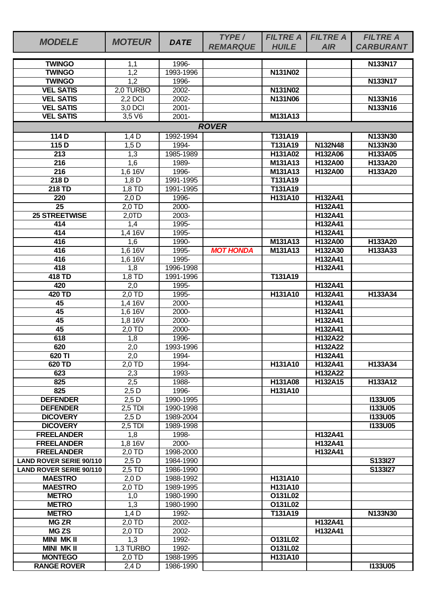| <b>MODELE</b>                        | <b>MOTEUR</b>    | <b>DATE</b>        | TYPE/<br><b>REMARQUE</b> | <b>FILTRE A</b><br><b>HUILE</b> | <b>FILTRE A</b><br><b>AIR</b>    | <b>FILTRE A</b><br><b>CARBURANT</b> |  |  |  |  |
|--------------------------------------|------------------|--------------------|--------------------------|---------------------------------|----------------------------------|-------------------------------------|--|--|--|--|
|                                      |                  |                    |                          |                                 |                                  |                                     |  |  |  |  |
| <b>TWINGO</b><br><b>TWINGO</b>       | 1,1              | 1996-<br>1993-1996 |                          | N131N02                         |                                  | <b>N133N17</b>                      |  |  |  |  |
| <b>TWINGO</b>                        | 1,2<br>1,2       | 1996-              |                          |                                 |                                  | <b>N133N17</b>                      |  |  |  |  |
| <b>VEL SATIS</b>                     | 2,0 TURBO        | 2002-              |                          | N131N02                         |                                  |                                     |  |  |  |  |
| <b>VEL SATIS</b>                     | 2,2 DCI          | 2002-              |                          | N131N06                         |                                  | N133N16                             |  |  |  |  |
| <b>VEL SATIS</b>                     | 3,0 DCI          | $2001 -$           |                          |                                 |                                  | N133N16                             |  |  |  |  |
| <b>VEL SATIS</b>                     | 3,5 V6           | $2001 -$           |                          | M131A13                         |                                  |                                     |  |  |  |  |
| <b>ROVER</b>                         |                  |                    |                          |                                 |                                  |                                     |  |  |  |  |
| 114 D                                | $1,4$ D          | 1992-1994          |                          | T131A19                         |                                  | N133N30                             |  |  |  |  |
| 115 D                                | $1,5$ D          | 1994-              |                          | T131A19                         | N132N48                          | N133N30                             |  |  |  |  |
| 213                                  | 1,3              | 1985-1989          |                          | H131A02                         | H132A06                          | H133A05                             |  |  |  |  |
| 216                                  | 1,6              | 1989-              |                          | M131A13                         | H132A00                          | H133A20                             |  |  |  |  |
| $\overline{216}$                     | 1,6 16V          | 1996-              |                          | M131A13                         | H132A00                          | H133A20                             |  |  |  |  |
| 218D                                 | $1,8$ D          | 1991-1995          |                          | T131A19                         |                                  |                                     |  |  |  |  |
| 218 TD                               | 1,8 TD           | 1991-1995          |                          | T131A19                         |                                  |                                     |  |  |  |  |
| 220                                  | $2,0$ D          | 1996-              |                          | H131A10                         | H132A41                          |                                     |  |  |  |  |
| 25                                   | 2,0 TD           | 2000-              |                          |                                 | H132A41                          |                                     |  |  |  |  |
| <b>25 STREETWISE</b>                 | 2,0TD            | 2003-              |                          |                                 | H132A41                          |                                     |  |  |  |  |
| 414                                  | 1,4              | 1995-              |                          |                                 | H132A41                          |                                     |  |  |  |  |
| 414                                  | 1,4 16V          | 1995-              |                          |                                 | H132A41                          |                                     |  |  |  |  |
| 416                                  | 1,6              | 1990-              |                          | M131A13                         | H132A00                          | H133A20                             |  |  |  |  |
| 416<br>416                           | 1,6 16V          | 1995-              | <b>MOT HONDA</b>         | M131A13                         | H132A30                          | H133A33                             |  |  |  |  |
| 418                                  | 1,6 16V          | 1995-<br>1996-1998 |                          |                                 | H132A41<br>H132A41               |                                     |  |  |  |  |
| 418 TD                               | 1,8<br>$1,8$ TD  | 1991-1996          |                          | T131A19                         |                                  |                                     |  |  |  |  |
| 420                                  | 2,0              | 1995-              |                          |                                 | H132A41                          |                                     |  |  |  |  |
| 420 TD                               | 2,0 TD           | 1995-              |                          | H131A10                         | H132A41                          | H133A34                             |  |  |  |  |
| 45                                   | 1,4 16V          | 2000-              |                          |                                 | H132A41                          |                                     |  |  |  |  |
| $\overline{45}$                      | 1,6 16V          | 2000-              |                          |                                 | H132A41                          |                                     |  |  |  |  |
| 45                                   | 1,8 16V          | 2000-              |                          |                                 | H132A41                          |                                     |  |  |  |  |
| 45                                   | $2,0$ TD         | 2000-              |                          |                                 | H132A41                          |                                     |  |  |  |  |
| 618                                  | 1,8              | 1996-              |                          |                                 | H132A22                          |                                     |  |  |  |  |
| 620                                  | 2,0              | 1993-1996          |                          |                                 | H132A22                          |                                     |  |  |  |  |
| 620 TI                               | 2,0              | 1994-              |                          |                                 | H132A41                          |                                     |  |  |  |  |
| 620 TD                               | 2.0 TD           | 1994-              |                          | H131A10                         | H132A41                          | H133A34                             |  |  |  |  |
| 623                                  | 2,3              | 1993-              |                          |                                 | H132A22                          |                                     |  |  |  |  |
| 825                                  | 2,5              | 1988-              |                          | H131A08                         | H <sub>132</sub> A <sub>15</sub> | H133A12                             |  |  |  |  |
| 825                                  | $2,5$ D          | 1996-              |                          | H131A10                         |                                  |                                     |  |  |  |  |
| <b>DEFENDER</b>                      | $2,5$ D          | 1990-1995          |                          |                                 |                                  | <b>I133U05</b>                      |  |  |  |  |
| <b>DEFENDER</b>                      | $2,5$ TDI        | 1990-1998          |                          |                                 |                                  | <b>I133U05</b>                      |  |  |  |  |
| <b>DICOVERY</b>                      | $2,5$ D          | 1989-2004          |                          |                                 |                                  | <b>I133U05</b><br><b>I133U05</b>    |  |  |  |  |
| <b>DICOVERY</b><br><b>FREELANDER</b> | $2,5$ TDI<br>1,8 | 1989-1998<br>1998- |                          |                                 | H132A41                          |                                     |  |  |  |  |
| <b>FREELANDER</b>                    | 1,8 16V          | 2000-              |                          |                                 | H132A41                          |                                     |  |  |  |  |
| <b>FREELANDER</b>                    | $2,0$ TD         | 1998-2000          |                          |                                 | H132A41                          |                                     |  |  |  |  |
| <b>LAND ROVER SERIE 90/110</b>       | $2,5$ D          | 1984-1990          |                          |                                 |                                  | S133127                             |  |  |  |  |
| <b>LAND ROVER SERIE 90/110</b>       | 2,5 TD           | 1986-1990          |                          |                                 |                                  | S133I27                             |  |  |  |  |
| <b>MAESTRO</b>                       | $2,0$ D          | 1988-1992          |                          | H131A10                         |                                  |                                     |  |  |  |  |
| <b>MAESTRO</b>                       | 2,0 TD           | 1989-1995          |                          | H131A10                         |                                  |                                     |  |  |  |  |
| <b>METRO</b>                         | 1,0              | 1980-1990          |                          | O131L02                         |                                  |                                     |  |  |  |  |
| <b>METRO</b>                         | 1,3              | 1980-1990          |                          | O131L02                         |                                  |                                     |  |  |  |  |
| <b>METRO</b>                         | $1,4$ D          | 1992-              |                          | T131A19                         |                                  | N133N30                             |  |  |  |  |
| <b>MG ZR</b>                         | 2,0 TD           | 2002-              |                          |                                 | H132A41                          |                                     |  |  |  |  |
| <b>MG ZS</b>                         | 2,0 TD           | 2002-              |                          |                                 | H132A41                          |                                     |  |  |  |  |
| <b>MINI MK II</b>                    | 1,3              | 1992-              |                          | O131L02                         |                                  |                                     |  |  |  |  |
| <b>MINI MKII</b>                     | 1,3 TURBO        | 1992-              |                          | O131L02                         |                                  |                                     |  |  |  |  |
| <b>MONTEGO</b>                       | 2,0 TD           | 1988-1995          |                          | H131A10                         |                                  |                                     |  |  |  |  |
| <b>RANGE ROVER</b>                   | 2,4 D            | 1986-1990          |                          |                                 |                                  | <b>I133U05</b>                      |  |  |  |  |